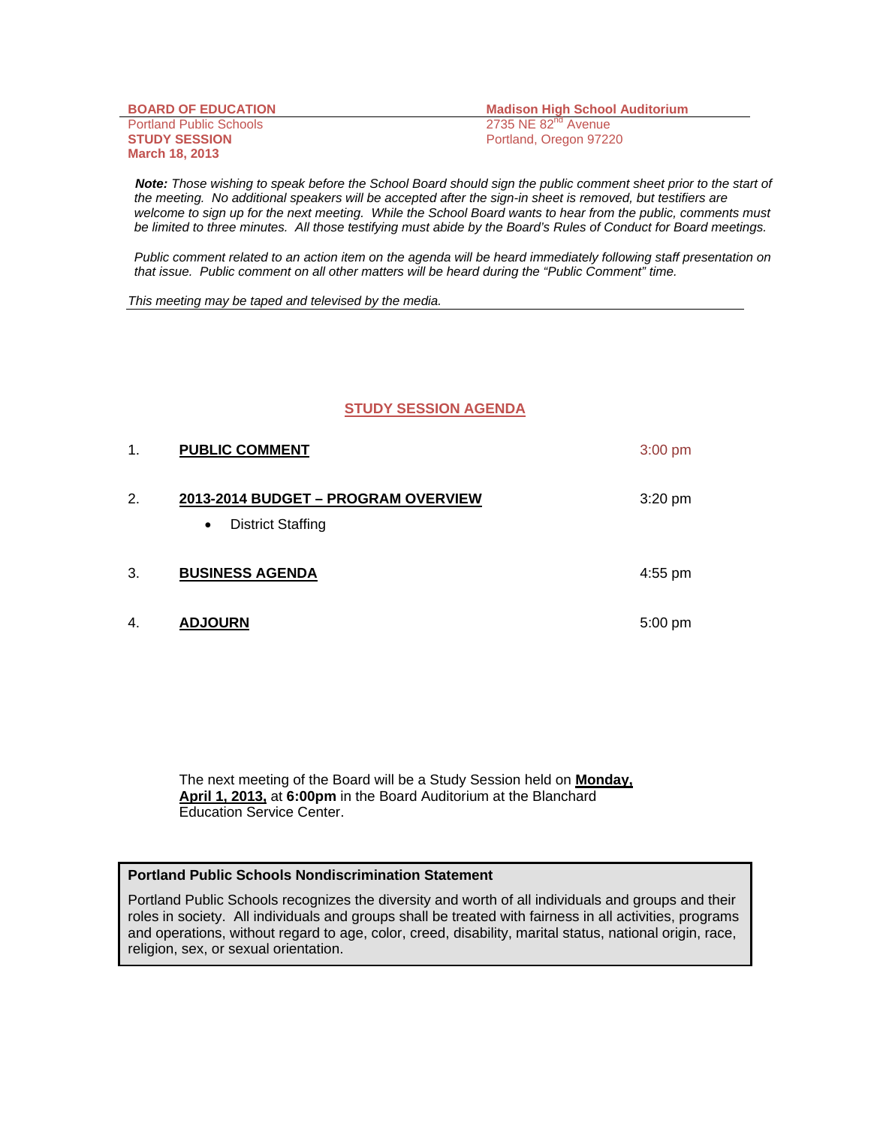| <b>BOARD OF EDUCATION</b>      |
|--------------------------------|
| <b>Portland Public Schools</b> |
| <b>STUDY SESSION</b>           |
| <b>March 18, 2013</b>          |

**Madison High School Auditorium**  $2735$  NE  $82<sup>nd</sup>$  Avenue Portland, Oregon 97220

 *Note: Those wishing to speak before the School Board should sign the public comment sheet prior to the start of the meeting. No additional speakers will be accepted after the sign-in sheet is removed, but testifiers are welcome to sign up for the next meeting. While the School Board wants to hear from the public, comments must be limited to three minutes. All those testifying must abide by the Board's Rules of Conduct for Board meetings.* 

 *Public comment related to an action item on the agenda will be heard immediately following staff presentation on that issue. Public comment on all other matters will be heard during the "Public Comment" time.* 

*This meeting may be taped and televised by the media.* 

#### **STUDY SESSION AGENDA**

| 1. | <b>PUBLIC COMMENT</b>                                                        | $3:00 \text{ pm}$ |
|----|------------------------------------------------------------------------------|-------------------|
| 2. | 2013-2014 BUDGET - PROGRAM OVERVIEW<br><b>District Staffing</b><br>$\bullet$ | $3:20$ pm         |
| 3. | <b>BUSINESS AGENDA</b>                                                       | 4:55 pm           |
| 4. | <b>ADJOURN</b>                                                               | $5:00 \text{ pm}$ |

The next meeting of the Board will be a Study Session held on **Monday, April 1, 2013,** at **6:00pm** in the Board Auditorium at the Blanchard Education Service Center.

#### **Portland Public Schools Nondiscrimination Statement**

Portland Public Schools recognizes the diversity and worth of all individuals and groups and their roles in society. All individuals and groups shall be treated with fairness in all activities, programs and operations, without regard to age, color, creed, disability, marital status, national origin, race, religion, sex, or sexual orientation.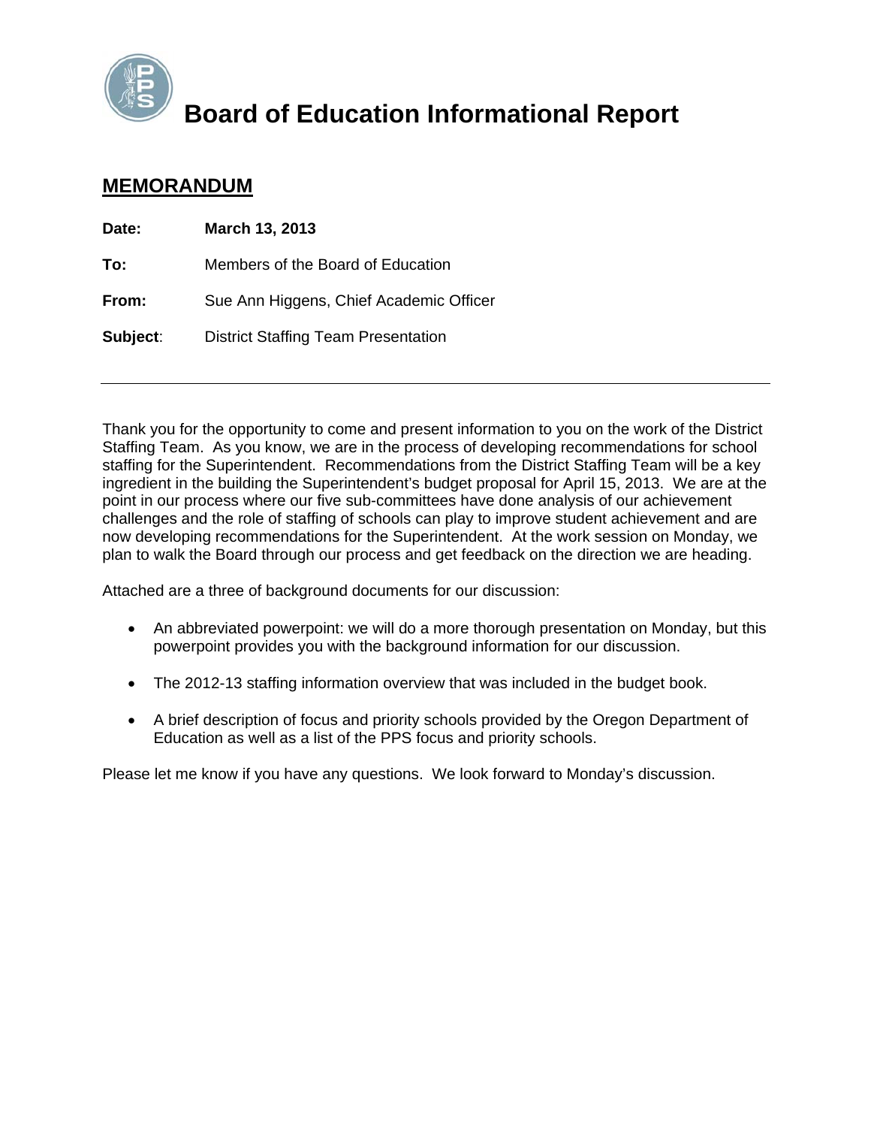

### **Board of Education Informational Report**

### **MEMORANDUM**

| Date:    | March 13, 2013                             |
|----------|--------------------------------------------|
| To:      | Members of the Board of Education          |
| From:    | Sue Ann Higgens, Chief Academic Officer    |
| Subject: | <b>District Staffing Team Presentation</b> |

Thank you for the opportunity to come and present information to you on the work of the District Staffing Team. As you know, we are in the process of developing recommendations for school staffing for the Superintendent. Recommendations from the District Staffing Team will be a key ingredient in the building the Superintendent's budget proposal for April 15, 2013. We are at the point in our process where our five sub-committees have done analysis of our achievement challenges and the role of staffing of schools can play to improve student achievement and are now developing recommendations for the Superintendent. At the work session on Monday, we plan to walk the Board through our process and get feedback on the direction we are heading.

Attached are a three of background documents for our discussion:

- An abbreviated powerpoint: we will do a more thorough presentation on Monday, but this powerpoint provides you with the background information for our discussion.
- The 2012-13 staffing information overview that was included in the budget book.
- A brief description of focus and priority schools provided by the Oregon Department of Education as well as a list of the PPS focus and priority schools.

Please let me know if you have any questions. We look forward to Monday's discussion.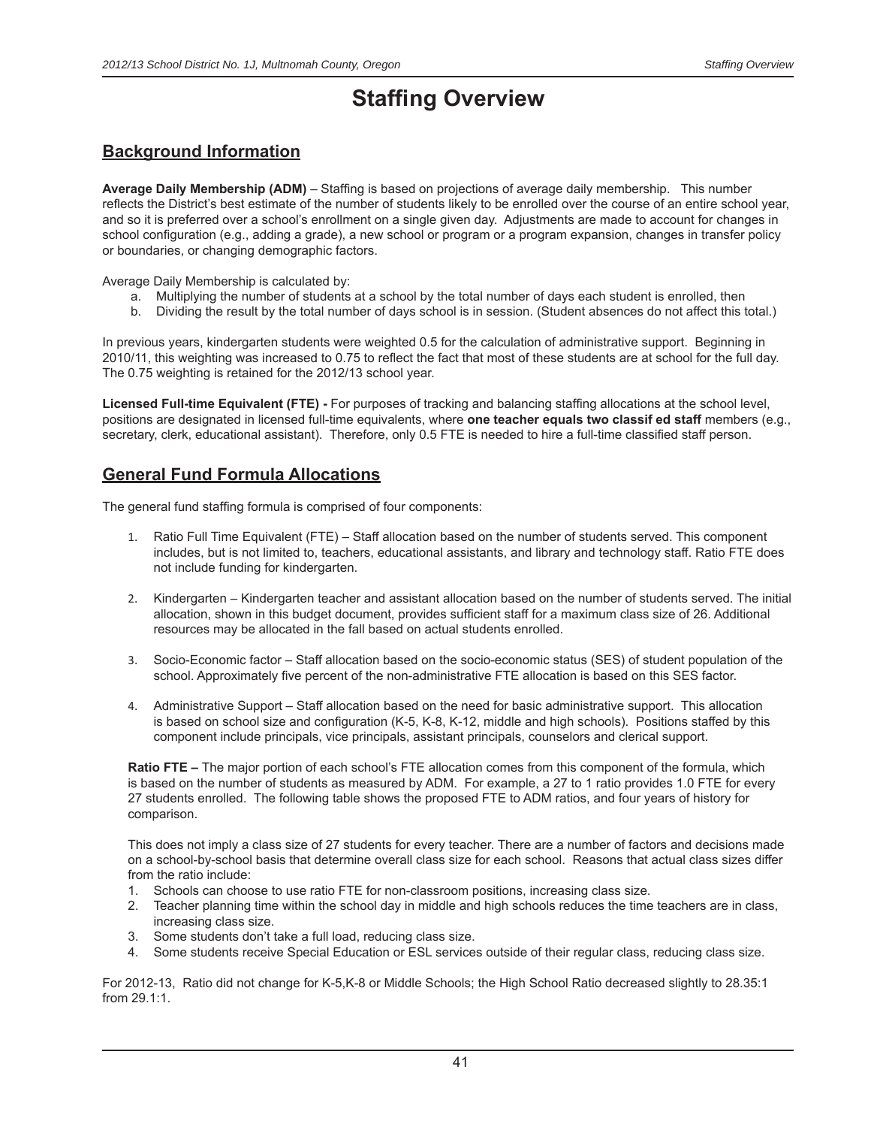### **Staffing Overview**

### **Background Information**

Average Daily Membership (ADM) – Staffing is based on projections of average daily membership. This number reflects the District's best estimate of the number of students likely to be enrolled over the course of an entire school year, and so it is preferred over a school's enrollment on a single given day. Adjustments are made to account for changes in school configuration (e.g., adding a grade), a new school or program or a program expansion, changes in transfer policy or boundaries, or changing demographic factors.

Average Daily Membership is calculated by:

- a. Multiplying the number of students at a school by the total number of days each student is enrolled, then
- b. Dividing the result by the total number of days school is in session. (Student absences do not affect this total.)

In previous years, kindergarten students were weighted 0.5 for the calculation of administrative support. Beginning in 2010/11, this weighting was increased to 0.75 to reflect the fact that most of these students are at school for the full day. The 0.75 weighting is retained for the 2012/13 school year.

Licensed Full-time Equivalent (FTE) - For purposes of tracking and balancing staffing allocations at the school level, positions are designated in licensed full-time equivalents, where **one teacher equals two classif ed staff** members (e.g., secretary, clerk, educational assistant). Therefore, only 0.5 FTE is needed to hire a full-time classified staff person.

### **General Fund Formula Allocations**

The general fund staffing formula is comprised of four components:

- 1. Ratio Full Time Equivalent (FTE) Staff allocation based on the number of students served. This component includes, but is not limited to, teachers, educational assistants, and library and technology staff. Ratio FTE does not include funding for kindergarten.
- 2. Kindergarten Kindergarten teacher and assistant allocation based on the number of students served. The initial allocation, shown in this budget document, provides sufficient staff for a maximum class size of 26. Additional resources may be allocated in the fall based on actual students enrolled.
- 3. Socio-Economic factor Staff allocation based on the socio-economic status (SES) of student population of the school. Approximately five percent of the non-administrative FTE allocation is based on this SES factor.
- 4. Administrative Support Staff allocation based on the need for basic administrative support. This allocation is based on school size and configuration (K-5, K-8, K-12, middle and high schools). Positions staffed by this component include principals, vice principals, assistant principals, counselors and clerical support.

**Ratio FTE –** The major portion of each school's FTE allocation comes from this component of the formula, which is based on the number of students as measured by ADM. For example, a 27 to 1 ratio provides 1.0 FTE for every 27 students enrolled. The following table shows the proposed FTE to ADM ratios, and four years of history for comparison.

This does not imply a class size of 27 students for every teacher. There are a number of factors and decisions made on a school-by-school basis that determine overall class size for each school. Reasons that actual class sizes differ from the ratio include:

- 1. Schools can choose to use ratio FTE for non-classroom positions, increasing class size.
- 2. Teacher planning time within the school day in middle and high schools reduces the time teachers are in class, increasing class size.
- 3. Some students don't take a full load, reducing class size.
- 4. Some students receive Special Education or ESL services outside of their regular class, reducing class size.

For 2012-13, Ratio did not change for K-5,K-8 or Middle Schools; the High School Ratio decreased slightly to 28.35:1 from 29.1:1.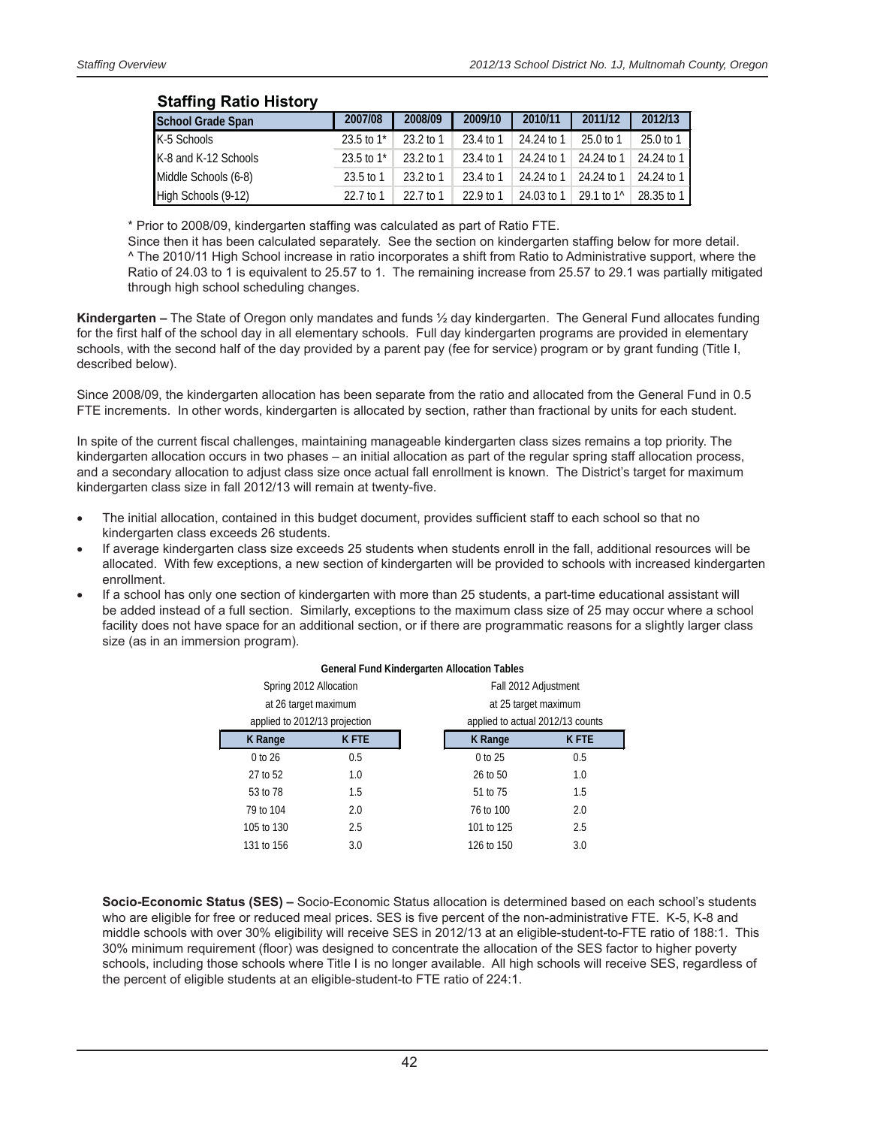| Staffing Ratio History   |                          |             |             |              |                        |            |
|--------------------------|--------------------------|-------------|-------------|--------------|------------------------|------------|
| <b>School Grade Span</b> | 2007/08                  | 2008/09     | 2009/10     | 2010/11      | 2011/12                | 2012/13    |
| K-5 Schools              | $23.5$ to 1 <sup>*</sup> | $23.2$ to 1 | 23.4 to 1   | 24.24 to 1   | $25.0 \text{ to } 1$   | 25.0 to 1  |
| K-8 and K-12 Schools     | $23.5$ to 1 <sup>*</sup> | $23.2$ to 1 | 23.4 to 1   | 24.24 to 1   | 24.24 to 1             | 24.24 to 1 |
| Middle Schools (6-8)     | $23.5$ to 1              | $23.2$ to 1 | 23.4 to 1   | 24.24 to 1   | 24.24 to 1             | 24.24 to 1 |
| High Schools (9-12)      | 22.7 to 1                | 22.7 to 1   | $22.9$ to 1 | $24.03$ to 1 | 29.1 to 1 <sup>^</sup> | 28.35 to 1 |

### **Staffing Ratio History**

\* Prior to 2008/09, kindergarten staffing was calculated as part of Ratio FTE.

Since then it has been calculated separately. See the section on kindergarten staffing below for more detail. ^ The 2010/11 High School increase in ratio incorporates a shift from Ratio to Administrative support, where the Ratio of 24.03 to 1 is equivalent to 25.57 to 1. The remaining increase from 25.57 to 29.1 was partially mitigated through high school scheduling changes.

**Kindergarten –** The State of Oregon only mandates and funds ½ day kindergarten. The General Fund allocates funding for the first half of the school day in all elementary schools. Full day kindergarten programs are provided in elementary schools, with the second half of the day provided by a parent pay (fee for service) program or by grant funding (Title I, described below).

Since 2008/09, the kindergarten allocation has been separate from the ratio and allocated from the General Fund in 0.5 FTE increments. In other words, kindergarten is allocated by section, rather than fractional by units for each student.

In spite of the current fiscal challenges, maintaining manageable kindergarten class sizes remains a top priority. The kindergarten allocation occurs in two phases – an initial allocation as part of the regular spring staff allocation process, and a secondary allocation to adjust class size once actual fall enrollment is known. The District's target for maximum kindergarten class size in fall 2012/13 will remain at twenty-five.

- The initial allocation, contained in this budget document, provides sufficient staff to each school so that no kindergarten class exceeds 26 students.
- If average kindergarten class size exceeds 25 students when students enroll in the fall, additional resources will be allocated. With few exceptions, a new section of kindergarten will be provided to schools with increased kindergarten enrollment.
- If a school has only one section of kindergarten with more than 25 students, a part-time educational assistant will be added instead of a full section. Similarly, exceptions to the maximum class size of 25 may occur where a school facility does not have space for an additional section, or if there are programmatic reasons for a slightly larger class size (as in an immersion program).

**General Fund Kindergarten Allocation Tables**

|                               | General Fund Kindergarten Allocation Tables |             |                                  |             |  |  |
|-------------------------------|---------------------------------------------|-------------|----------------------------------|-------------|--|--|
|                               | Spring 2012 Allocation                      |             | Fall 2012 Adjustment             |             |  |  |
| at 26 target maximum          |                                             |             | at 25 target maximum             |             |  |  |
| applied to 2012/13 projection |                                             |             | applied to actual 2012/13 counts |             |  |  |
|                               | K Range                                     | <b>KFTE</b> | K Range                          | <b>KFTE</b> |  |  |
|                               | 0 to 26                                     | 0.5         | 0 to 25                          | 0.5         |  |  |
|                               | 27 to 52                                    | 1.0         | 26 to 50                         | 1.0         |  |  |
|                               | 53 to 78                                    | 1.5         | 51 to 75                         | 1.5         |  |  |
|                               | 79 to 104                                   | 2.0         | 76 to 100                        | 2.0         |  |  |
|                               | 105 to 130                                  | 2.5         | 101 to 125                       | 2.5         |  |  |
|                               | 131 to 156                                  | 3.0         | 126 to 150                       | 3.0         |  |  |
|                               |                                             |             |                                  |             |  |  |

#### **Socio-Economic Status (SES) –** Socio-Economic Status allocation is determined based on each school's students who are eligible for free or reduced meal prices. SES is five percent of the non-administrative FTE. K-5, K-8 and middle schools with over 30% eligibility will receive SES in 2012/13 at an eligible-student-to-FTE ratio of 188:1. This 30% minimum requirement (floor) was designed to concentrate the allocation of the SES factor to higher poverty schools, including those schools where Title I is no longer available. All high schools will receive SES, regardless of the percent of eligible students at an eligible-student-to FTE ratio of 224:1.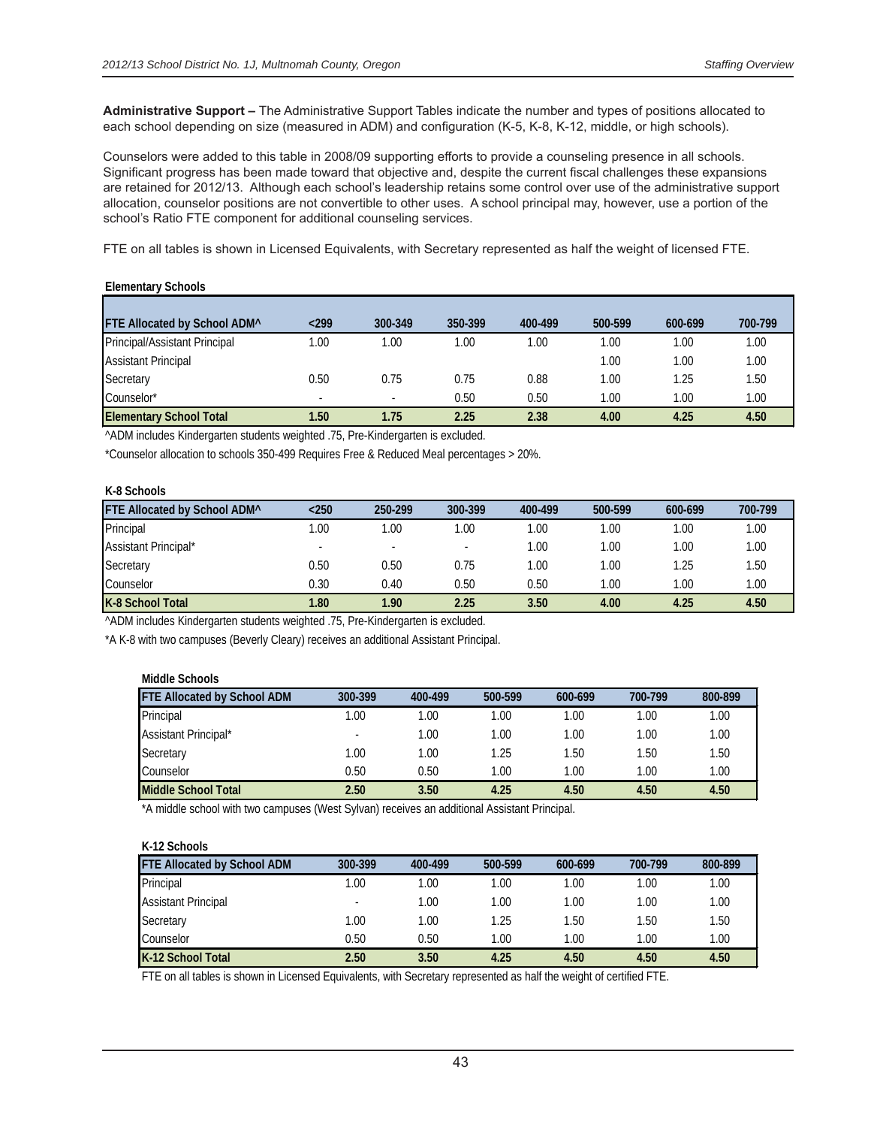**Administrative Support –** The Administrative Support Tables indicate the number and types of positions allocated to each school depending on size (measured in ADM) and configuration (K-5, K-8, K-12, middle, or high schools).

Counselors were added to this table in 2008/09 supporting efforts to provide a counseling presence in all schools. Significant progress has been made toward that objective and, despite the current fiscal challenges these expansions are retained for 2012/13. Although each school's leadership retains some control over use of the administrative support allocation, counselor positions are not convertible to other uses. A school principal may, however, use a portion of the school's Ratio FTE component for additional counseling services.

FTE on all tables is shown in Licensed Equivalents, with Secretary represented as half the weight of licensed FTE.

#### **Elementary Schools**

| <b>FTE Allocated by School ADM</b> <sup>^</sup> | $299$                    | 300-349 | 350-399 | 400-499 | 500-599 | 600-699 | 700-799 |
|-------------------------------------------------|--------------------------|---------|---------|---------|---------|---------|---------|
| Principal/Assistant Principal                   | 1.00                     | .00     | 1.00    | 1.00    | 1.00    | 1.00    | 1.00    |
| <b>Assistant Principal</b>                      |                          |         |         |         | 1.00    | 1.00    | 1.00    |
| Secretary                                       | 0.50                     | 0.75    | 0.75    | 0.88    | 1.00    | 1.25    | 1.50    |
| Counselor*                                      | $\overline{\phantom{a}}$ |         | 0.50    | 0.50    | 1.00    | 1.00    | 1.00    |
| <b>Elementary School Total</b>                  | 1.50                     | 1.75    | 2.25    | 2.38    | 4.00    | 4.25    | 4.50    |

^ADM includes Kindergarten students weighted .75, Pre-Kindergarten is excluded.

\*Counselor allocation to schools 350-499 Requires Free & Reduced Meal percentages > 20%.

#### **K-8 Schools**

| FTE Allocated by School ADM^ | $250$ | 250-299 | 300-399 | 400-499 | 500-599  | 600-699 | 700-799 |
|------------------------------|-------|---------|---------|---------|----------|---------|---------|
| Principal                    | .00   | .00     | 0.00    | .00     | 1.00     | 1.00    | 1.00    |
| Assistant Principal*         |       |         |         | 1.00    | $1.00 -$ | 1.00    | 1.00    |
| Secretary                    | 0.50  | 0.50    | 0.75    | .00     | 1.00     | 1.25    | 1.50    |
| Counselor                    | 0.30  | 0.40    | 0.50    | 0.50    | 1.00     | 1.00    | 1.00    |
| K-8 School Total             | 1.80  | 1.90    | 2.25    | 3.50    | 4.00     | 4.25    | 4.50    |

^ADM includes Kindergarten students weighted .75, Pre-Kindergarten is excluded.

\*A K-8 with two campuses (Beverly Cleary) receives an additional Assistant Principal.

| Middle Schools                     |         |         |         |         |         |         |
|------------------------------------|---------|---------|---------|---------|---------|---------|
| <b>FTE Allocated by School ADM</b> | 300-399 | 400-499 | 500-599 | 600-699 | 700-799 | 800-899 |
| Principal                          | 0.001   | 0.00    | 1.00    | 1.00    | .00     | 1.00    |
| Assistant Principal*               |         | 1.00    | 1.00    | 1.00    | 1.00    | 1.00    |
| Secretary                          | 1.00    | 1.00    | 1.25    | 1.50    | 1.50    | 1.50    |
| Counselor                          | 0.50    | 0.50    | 1.00    | 1.00    | 1.00    | 1.00    |
| Middle School Total                | 2.50    | 3.50    | 4.25    | 4.50    | 4.50    | 4.50    |

\*A middle school with two campuses (West Sylvan) receives an additional Assistant Principal.

| K-12 Schools                       |                          |         |         |         |         |         |
|------------------------------------|--------------------------|---------|---------|---------|---------|---------|
| <b>FTE Allocated by School ADM</b> | 300-399                  | 400-499 | 500-599 | 600-699 | 700-799 | 800-899 |
| Principal                          | 1.00                     | 1.00    | 1.00    | 1.00    | 1.00    | 1.00    |
| <b>Assistant Principal</b>         | $\overline{\phantom{a}}$ | 1.00    | 1.00    | 1.00    | 1.00    | 1.00    |
| Secretary                          | 1.00                     | 1.00    | 1.25    | 1.50    | 1.50    | 1.50    |
| Counselor                          | 0.50                     | 0.50    | 1.00    | 1.00    | 1.00    | 1.00    |
| K-12 School Total                  | 2.50                     | 3.50    | 4.25    | 4.50    | 4.50    | 4.50    |

FTE on all tables is shown in Licensed Equivalents, with Secretary represented as half the weight of certified FTE.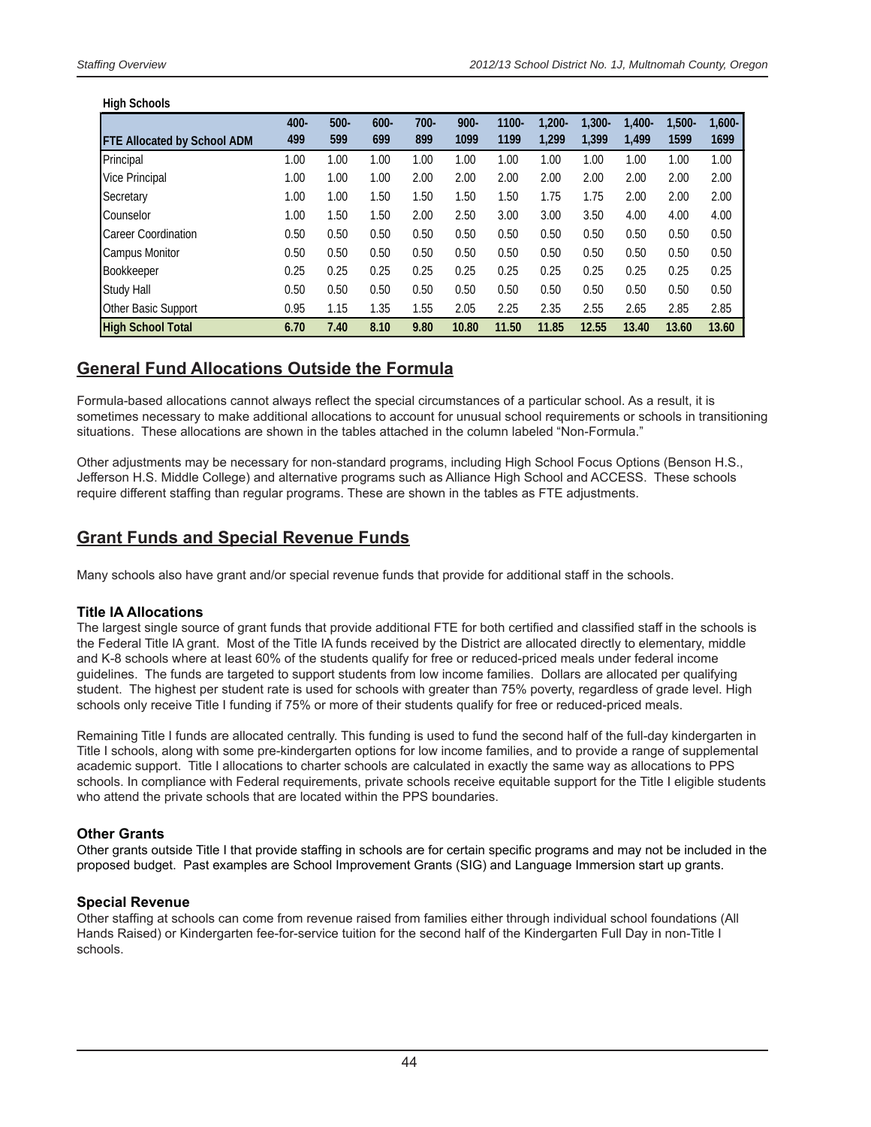#### **High Schools**

| ັ                                  | 400- | $500 -$ | $600 -$ | $700 -$ | $900 -$ | 1100- | $1.200 -$ | $1.300 -$ | $1.400 -$ | $1.500 -$ | $1.600 -$ |
|------------------------------------|------|---------|---------|---------|---------|-------|-----------|-----------|-----------|-----------|-----------|
| <b>FTE Allocated by School ADM</b> | 499  | 599     | 699     | 899     | 1099    | 1199  | 1.299     | 1.399     | 1.499     | 1599      | 1699      |
| Principal                          | 1.00 | 1.00    | 1.00    | 1.00    | 1.00    | 1.00  | 1.00      | 1.00      | 1.00      | 1.00      | 1.00      |
| <b>Vice Principal</b>              | 1.00 | 1.00    | 1.00    | 2.00    | 2.00    | 2.00  | 2.00      | 2.00      | 2.00      | 2.00      | 2.00      |
| Secretary                          | 1.00 | 1.00    | 1.50    | 1.50    | 1.50    | 1.50  | 1.75      | 1.75      | 2.00      | 2.00      | 2.00      |
| Counselor                          | 1.00 | 1.50    | 1.50    | 2.00    | 2.50    | 3.00  | 3.00      | 3.50      | 4.00      | 4.00      | 4.00      |
| <b>Career Coordination</b>         | 0.50 | 0.50    | 0.50    | 0.50    | 0.50    | 0.50  | 0.50      | 0.50      | 0.50      | 0.50      | 0.50      |
| <b>Campus Monitor</b>              | 0.50 | 0.50    | 0.50    | 0.50    | 0.50    | 0.50  | 0.50      | 0.50      | 0.50      | 0.50      | 0.50      |
| Bookkeeper                         | 0.25 | 0.25    | 0.25    | 0.25    | 0.25    | 0.25  | 0.25      | 0.25      | 0.25      | 0.25      | 0.25      |
| Study Hall                         | 0.50 | 0.50    | 0.50    | 0.50    | 0.50    | 0.50  | 0.50      | 0.50      | 0.50      | 0.50      | 0.50      |
| Other Basic Support                | 0.95 | 1.15    | 1.35    | 1.55    | 2.05    | 2.25  | 2.35      | 2.55      | 2.65      | 2.85      | 2.85      |
| <b>High School Total</b>           | 6.70 | 7.40    | 8.10    | 9.80    | 10.80   | 11.50 | 11.85     | 12.55     | 13.40     | 13.60     | 13.60     |

### **General Fund Allocations Outside the Formula**

Formula-based allocations cannot always reflect the special circumstances of a particular school. As a result, it is sometimes necessary to make additional allocations to account for unusual school requirements or schools in transitioning situations. These allocations are shown in the tables attached in the column labeled "Non-Formula."

Other adjustments may be necessary for non-standard programs, including High School Focus Options (Benson H.S., Jefferson H.S. Middle College) and alternative programs such as Alliance High School and ACCESS. These schools require different staffing than regular programs. These are shown in the tables as FTE adjustments.

### **Grant Funds and Special Revenue Funds**

Many schools also have grant and/or special revenue funds that provide for additional staff in the schools.

### **Title IA Allocations**

The largest single source of grant funds that provide additional FTE for both certified and classified staff in the schools is the Federal Title IA grant. Most of the Title IA funds received by the District are allocated directly to elementary, middle and K-8 schools where at least 60% of the students qualify for free or reduced-priced meals under federal income guidelines. The funds are targeted to support students from low income families. Dollars are allocated per qualifying student. The highest per student rate is used for schools with greater than 75% poverty, regardless of grade level. High schools only receive Title I funding if 75% or more of their students qualify for free or reduced-priced meals.

Remaining Title I funds are allocated centrally. This funding is used to fund the second half of the full-day kindergarten in Title I schools, along with some pre-kindergarten options for low income families, and to provide a range of supplemental academic support. Title I allocations to charter schools are calculated in exactly the same way as allocations to PPS schools. In compliance with Federal requirements, private schools receive equitable support for the Title I eligible students who attend the private schools that are located within the PPS boundaries.

### **Other Grants**

Other grants outside Title I that provide staffing in schools are for certain specific programs and may not be included in the proposed budget. Past examples are School Improvement Grants (SIG) and Language Immersion start up grants.

### **Special Revenue**

Other staffing at schools can come from revenue raised from families either through individual school foundations (All Hands Raised) or Kindergarten fee-for-service tuition for the second half of the Kindergarten Full Day in non-Title I schools.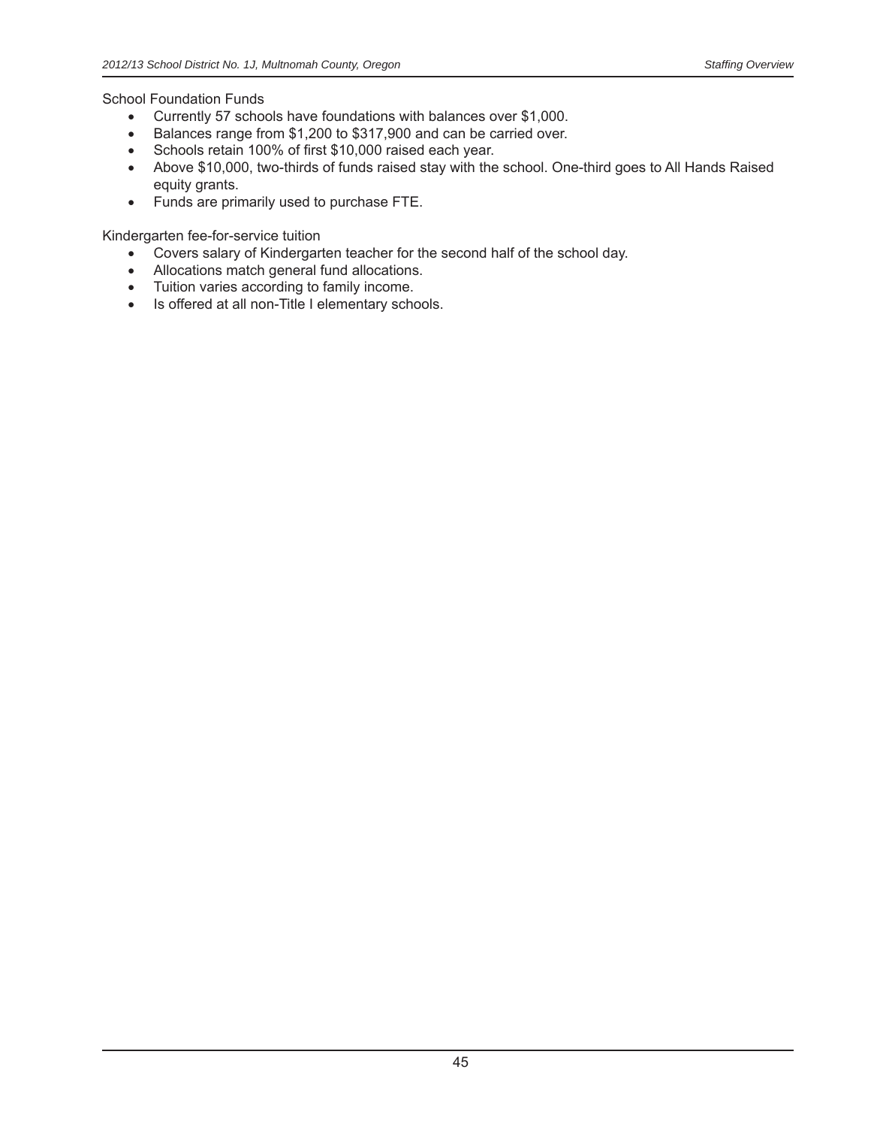School Foundation Funds

- Currently 57 schools have foundations with balances over \$1,000.
- Balances range from \$1,200 to \$317,900 and can be carried over.
- Schools retain 100% of first \$10,000 raised each year.
- Above \$10,000, two-thirds of funds raised stay with the school. One-third goes to All Hands Raised equity grants.
- Funds are primarily used to purchase FTE.

Kindergarten fee-for-service tuition

- Covers salary of Kindergarten teacher for the second half of the school day.
- Allocations match general fund allocations.
- Tuition varies according to family income.
- Is offered at all non-Title I elementary schools.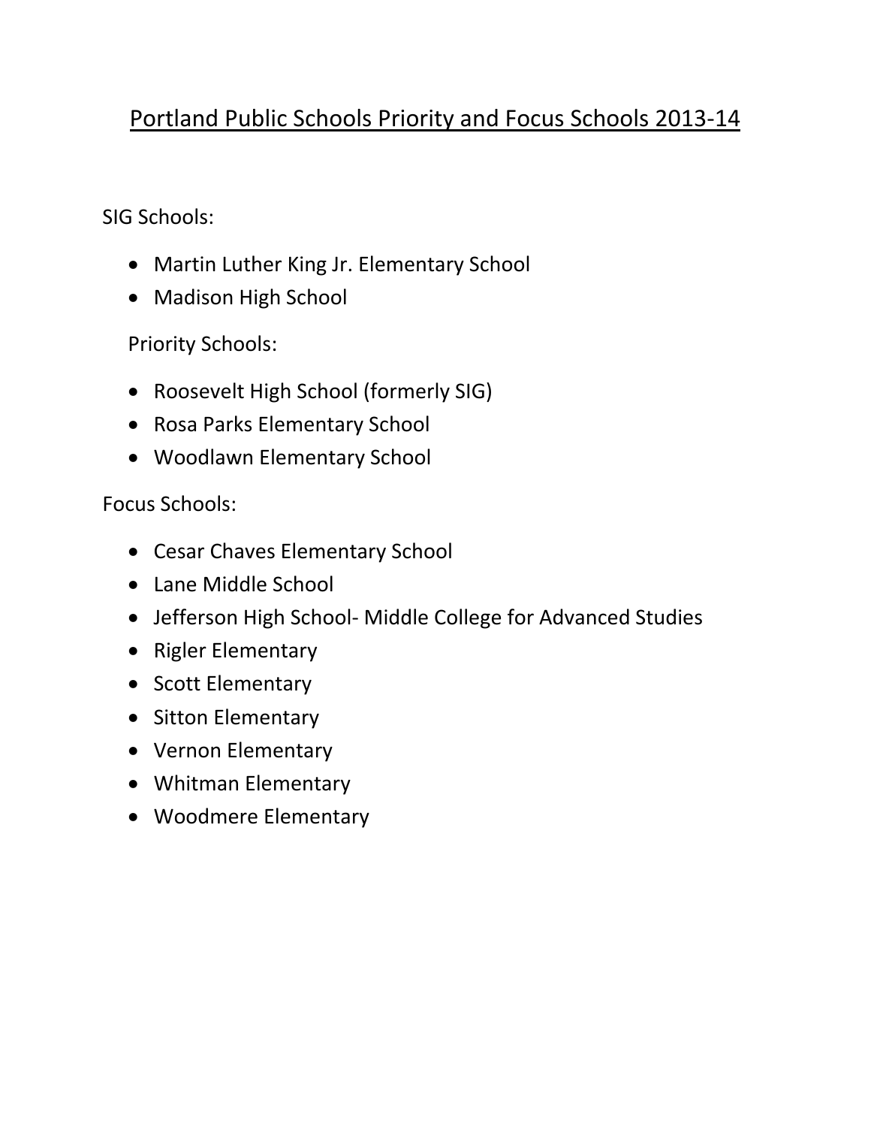### Portland Public Schools Priority and Focus Schools 2013‐14

SIG Schools:

- Martin Luther King Jr. Elementary School
- Madison High School

Priority Schools:

- Roosevelt High School (formerly SIG)
- Rosa Parks Elementary School
- Woodlawn Elementary School

Focus Schools:

- Cesar Chaves Elementary School
- Lane Middle School
- Jefferson High School- Middle College for Advanced Studies
- Rigler Elementary
- Scott Elementary
- Sitton Elementary
- Vernon Elementary
- Whitman Elementary
- Woodmere Elementary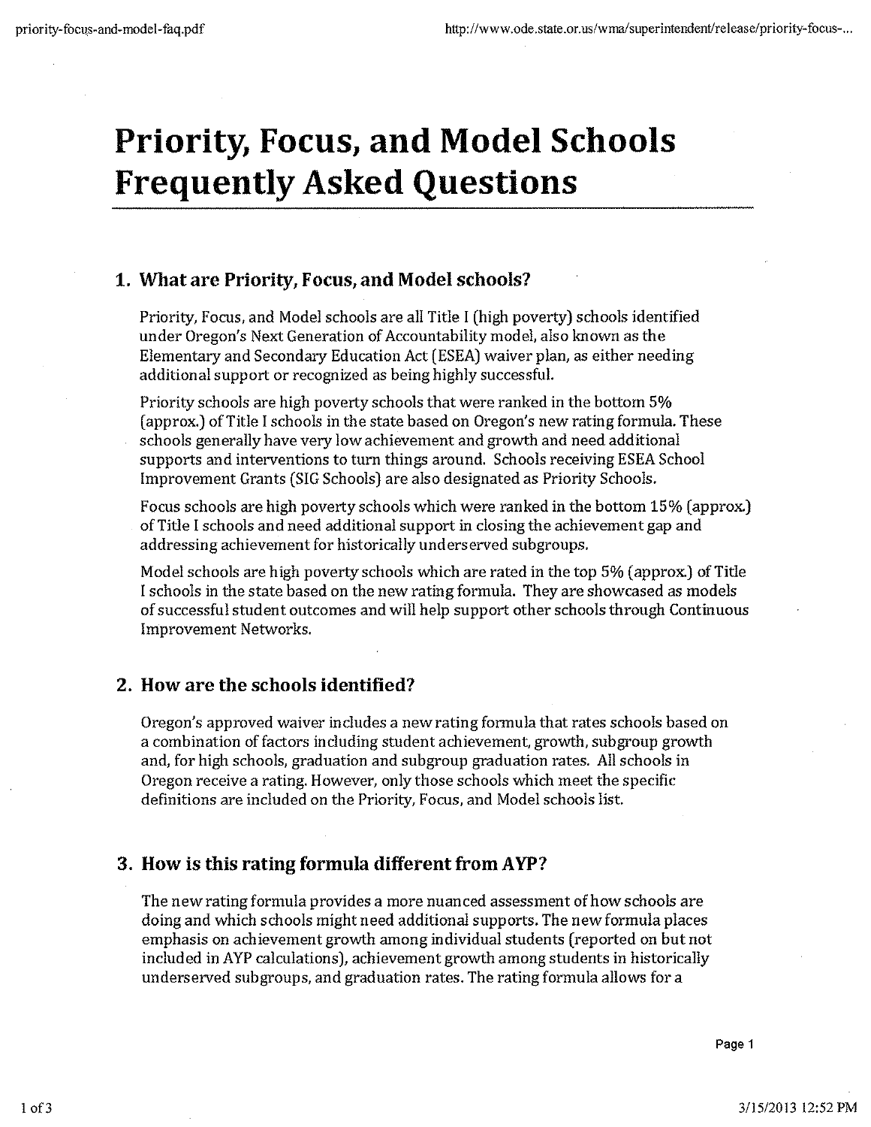# **Priority, Focus, and Model Schools Frequently Asked Questions**

### 1. What are Priority, Focus, and Model schools?

Priority, Focus, and Model schools are all Title I (high poverty) schools identified under Oregon's Next Generation of Accountability model, also known as the Elementary and Secondary Education Act (ESEA) waiver plan, as either needing additional support or recognized as being highly successful.

Priority schools are high poverty schools that were ranked in the bottom 5% (approx.) of Title I schools in the state based on Oregon's new rating formula. These schools generally have very low achievement and growth and need additional supports and interventions to turn things around. Schools receiving ESEA School Improvement Grants (SIG Schools) are also designated as Priority Schools.

Focus schools are high poverty schools which were ranked in the bottom 15% (approx.) of Title I schools and need additional support in closing the achievement gap and addressing achievement for historically underserved subgroups.

Model schools are high poverty schools which are rated in the top 5% (approx.) of Title I schools in the state based on the new rating formula. They are showcased as models of successful student outcomes and will help support other schools through Continuous **Improvement Networks.** 

### 2. How are the schools identified?

Oregon's approved waiver includes a new rating formula that rates schools based on a combination of factors including student achievement, growth, subgroup growth and, for high schools, graduation and subgroup graduation rates. All schools in Oregon receive a rating. However, only those schools which meet the specific definitions are included on the Priority, Focus, and Model schools list.

### 3. How is this rating formula different from AYP?

The new rating formula provides a more nuanced assessment of how schools are doing and which schools might need additional supports. The new formula places emphasis on achievement growth among individual students (reported on but not included in AYP calculations), achievement growth among students in historically underserved subgroups, and graduation rates. The rating formula allows for a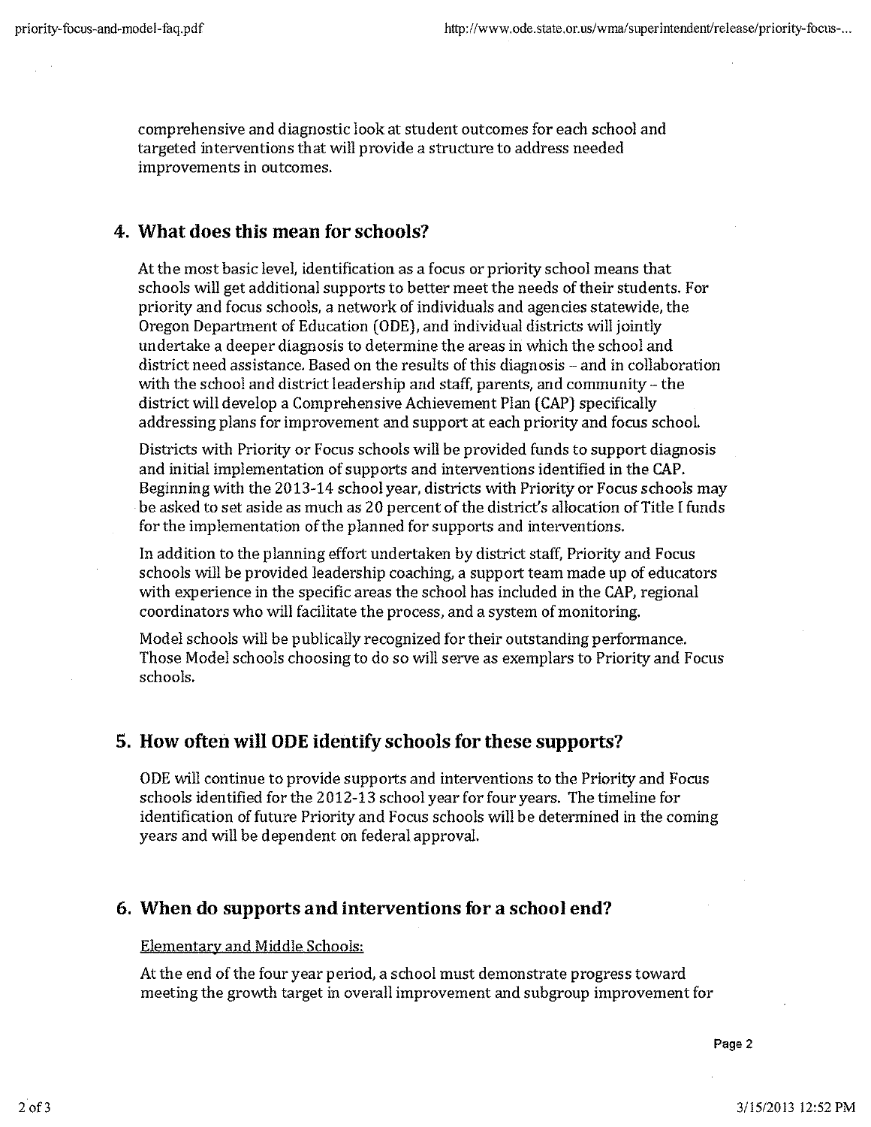comprehensive and diagnostic look at student outcomes for each school and targeted interventions that will provide a structure to address needed improvements in outcomes.

### 4. What does this mean for schools?

At the most basic level, identification as a focus or priority school means that schools will get additional supports to better meet the needs of their students. For priority and focus schools, a network of individuals and agencies statewide, the Oregon Department of Education (ODE), and individual districts will jointly undertake a deeper diagnosis to determine the areas in which the school and district need assistance. Based on the results of this diagnosis – and in collaboration with the school and district leadership and staff, parents, and community - the district will develop a Comprehensive Achievement Plan (CAP) specifically addressing plans for improvement and support at each priority and focus school.

Districts with Priority or Focus schools will be provided funds to support diagnosis and initial implementation of supports and interventions identified in the CAP. Beginning with the 2013-14 school year, districts with Priority or Focus schools may be asked to set aside as much as 20 percent of the district's allocation of Title I funds for the implementation of the planned for supports and interventions.

In addition to the planning effort undertaken by district staff, Priority and Focus schools will be provided leadership coaching, a support team made up of educators with experience in the specific areas the school has included in the CAP, regional coordinators who will facilitate the process, and a system of monitoring.

Model schools will be publically recognized for their outstanding performance. Those Model schools choosing to do so will serve as exemplars to Priority and Focus schools.

### 5. How often will ODE identify schools for these supports?

ODE will continue to provide supports and interventions to the Priority and Focus schools identified for the 2012-13 school year for four years. The timeline for identification of future Priority and Focus schools will be determined in the coming years and will be dependent on federal approval.

### 6. When do supports and interventions for a school end?

### Elementary and Middle Schools:

At the end of the four year period, a school must demonstrate progress toward meeting the growth target in overall improvement and subgroup improvement for

Page 2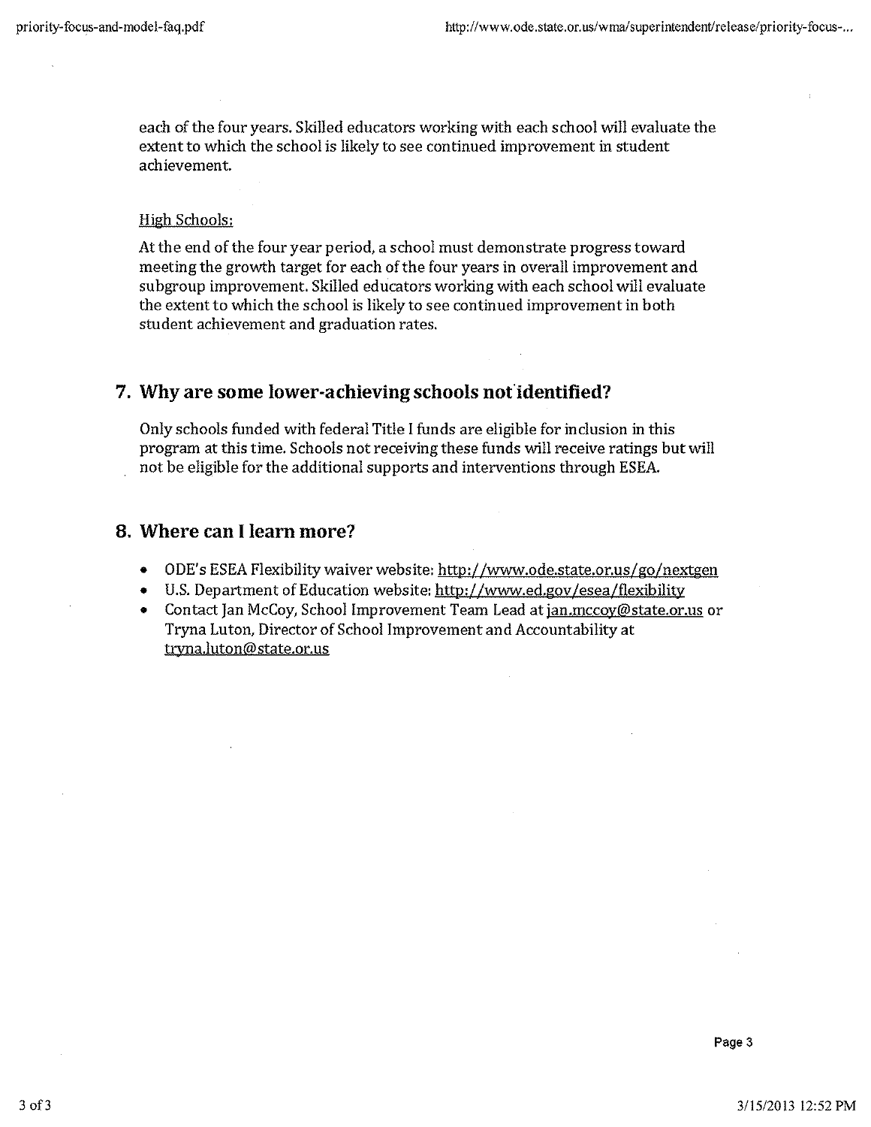each of the four years. Skilled educators working with each school will evaluate the extent to which the school is likely to see continued improvement in student achievement.

### High Schools:

At the end of the four year period, a school must demonstrate progress toward meeting the growth target for each of the four years in overall improvement and subgroup improvement. Skilled educators working with each school will evaluate the extent to which the school is likely to see continued improvement in both student achievement and graduation rates.

### 7. Why are some lower-achieving schools not identified?

Only schools funded with federal Title I funds are eligible for inclusion in this program at this time. Schools not receiving these funds will receive ratings but will not be eligible for the additional supports and interventions through ESEA.

### 8. Where can I learn more?

- ODE's ESEA Flexibility waiver website: http://www.ode.state.or.us/go/nextgen  $\bullet$
- U.S. Department of Education website: http://www.ed.gov/esea/flexibility
- Contact Jan McCoy, School Improvement Team Lead at jan.mccoy@state.or.us or Tryna Luton, Director of School Improvement and Accountability at tryna.luton@state.or.us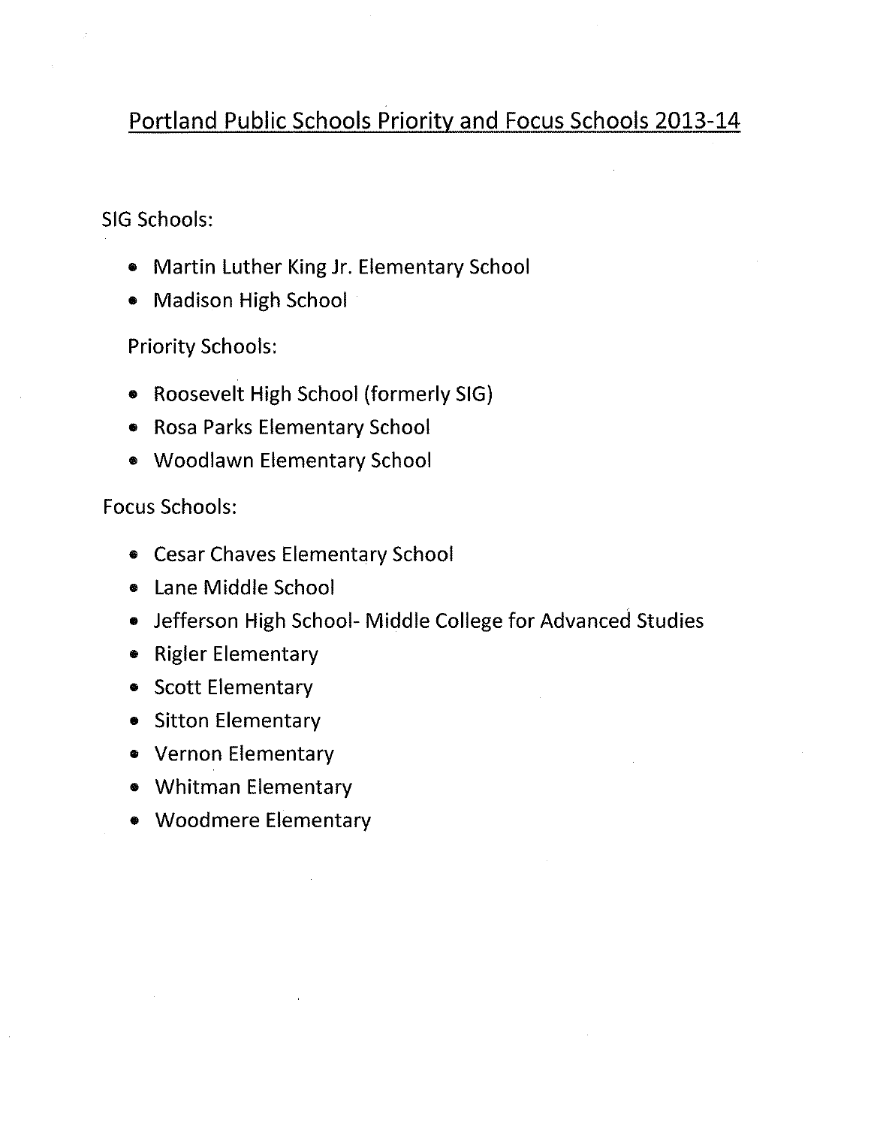### Portland Public Schools Priority and Focus Schools 2013-14

### SIG Schools:

- Martin Luther King Jr. Elementary School
- Madison High School

**Priority Schools:** 

- Roosevelt High School (formerly SIG)
- Rosa Parks Elementary School
- Woodlawn Elementary School

### **Focus Schools:**

- Cesar Chaves Elementary School
- Lane Middle School
- Jefferson High School- Middle College for Advanced Studies
- Rigler Elementary
- Scott Elementary
- Sitton Elementary
- Vernon Elementary
- Whitman Elementary
- Woodmere Elementary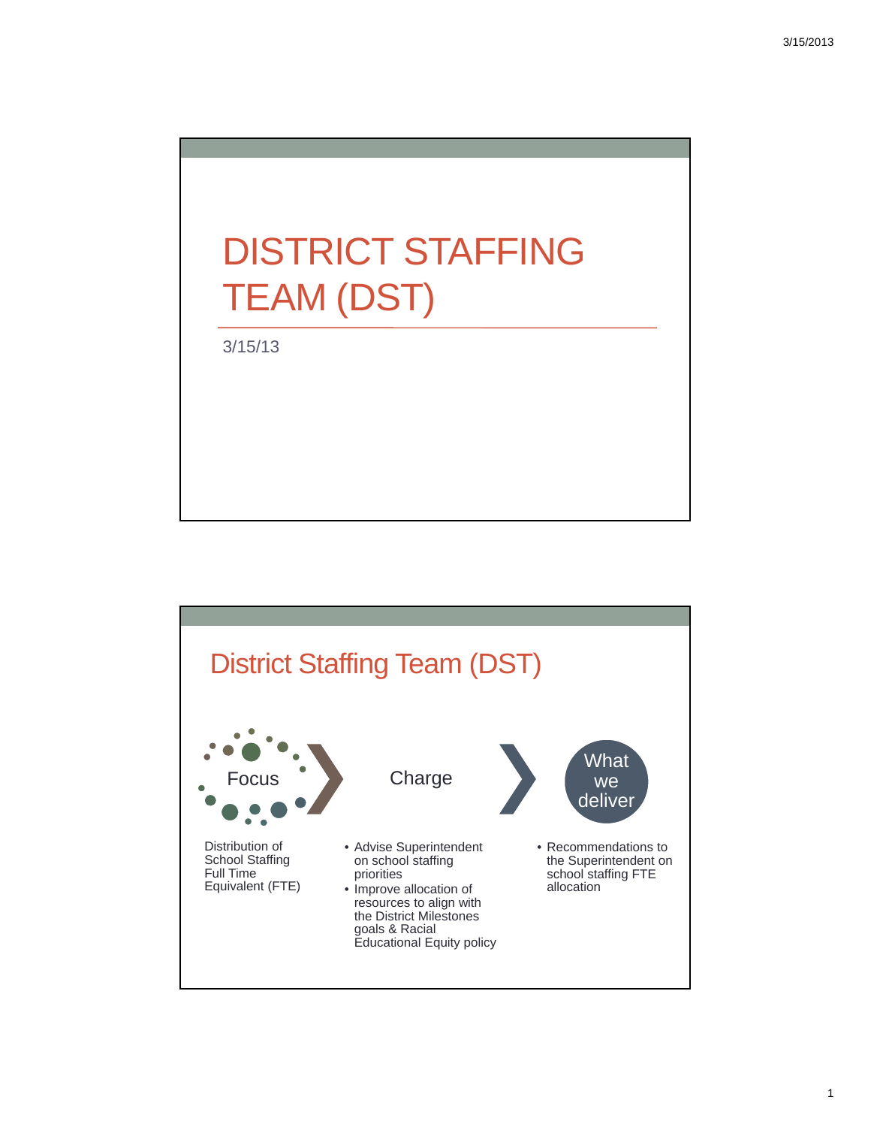# DISTRICT STAFFING TEAM (DST)

3/15/13

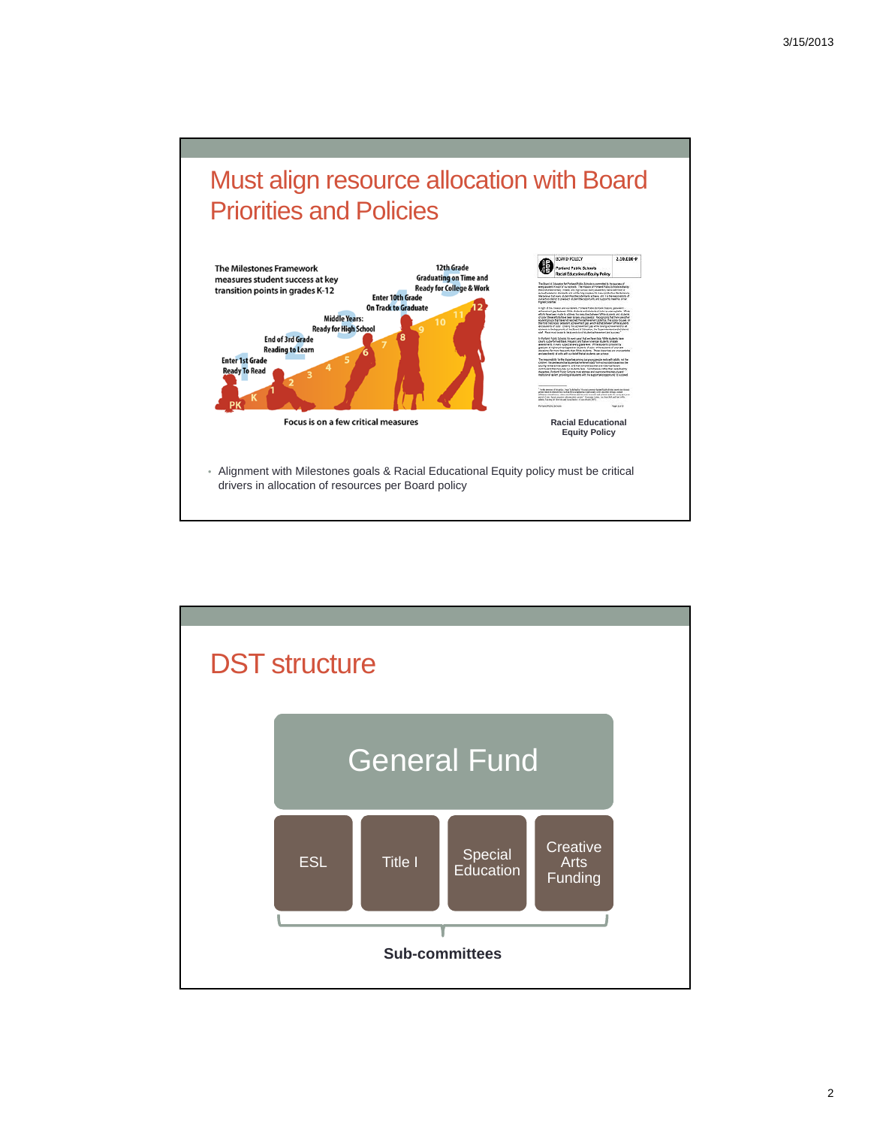## Must align resource allocation with Board Priorities and Policies



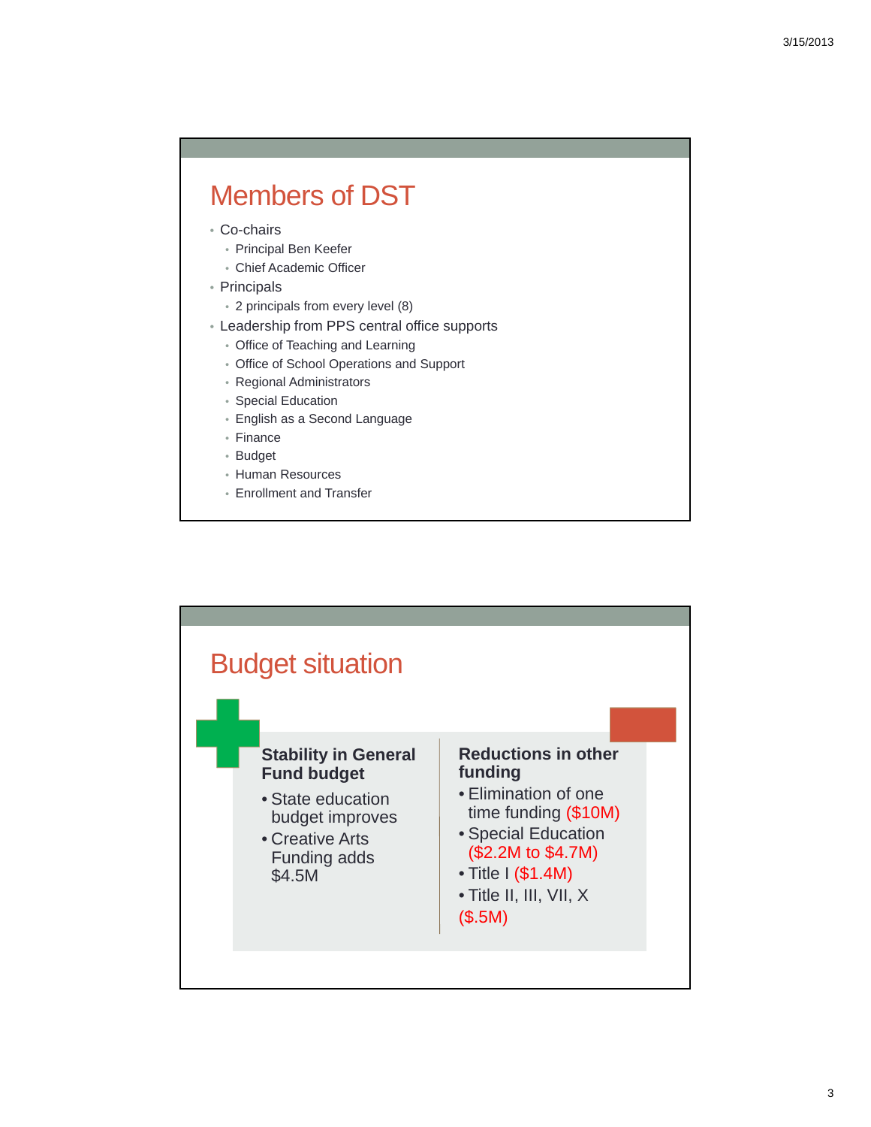### Members of DST

- Co-chairs
	- Principal Ben Keefer
	- Chief Academic Officer
- Principals
	- 2 principals from every level (8)
- Leadership from PPS central office supports
	- Office of Teaching and Learning
	- Office of School Operations and Support
	- Regional Administrators
	- Special Education
	- English as a Second Language
	- Finance
	- Budget
	- Human Resources
	- Enrollment and Transfer

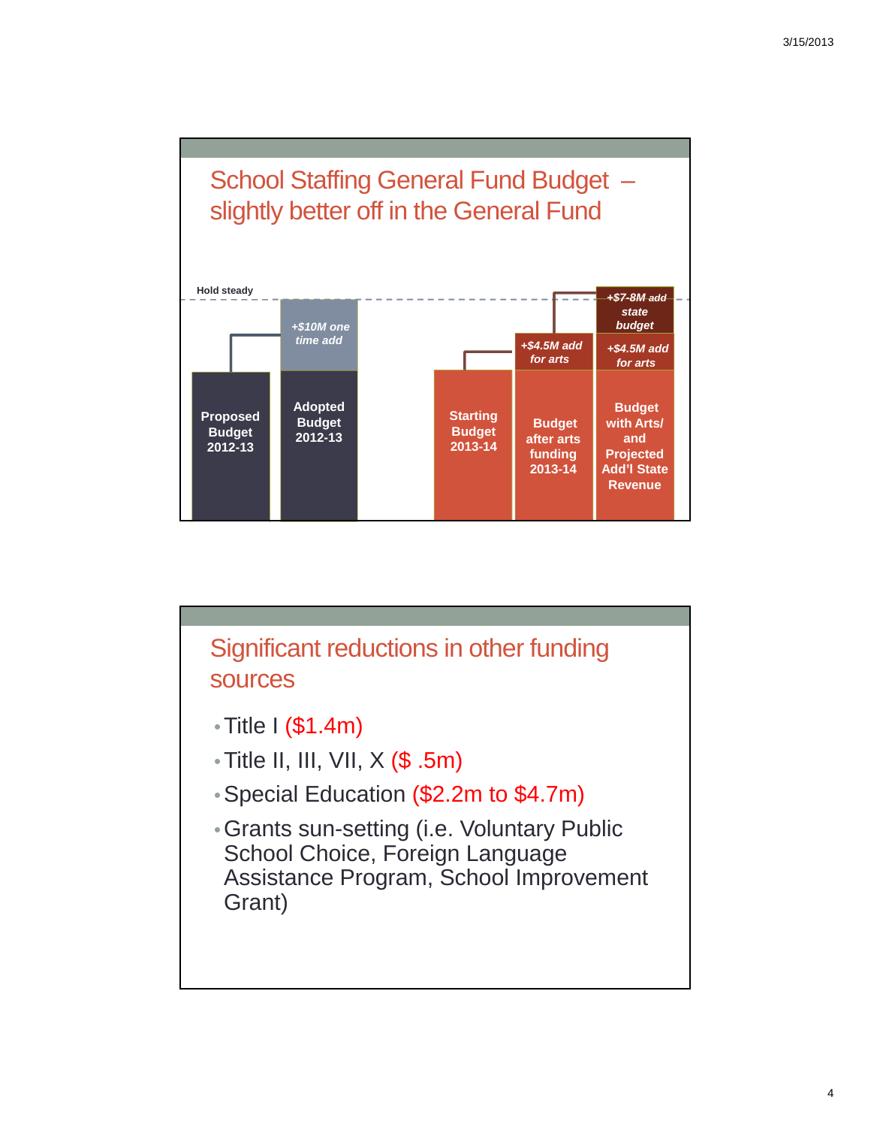

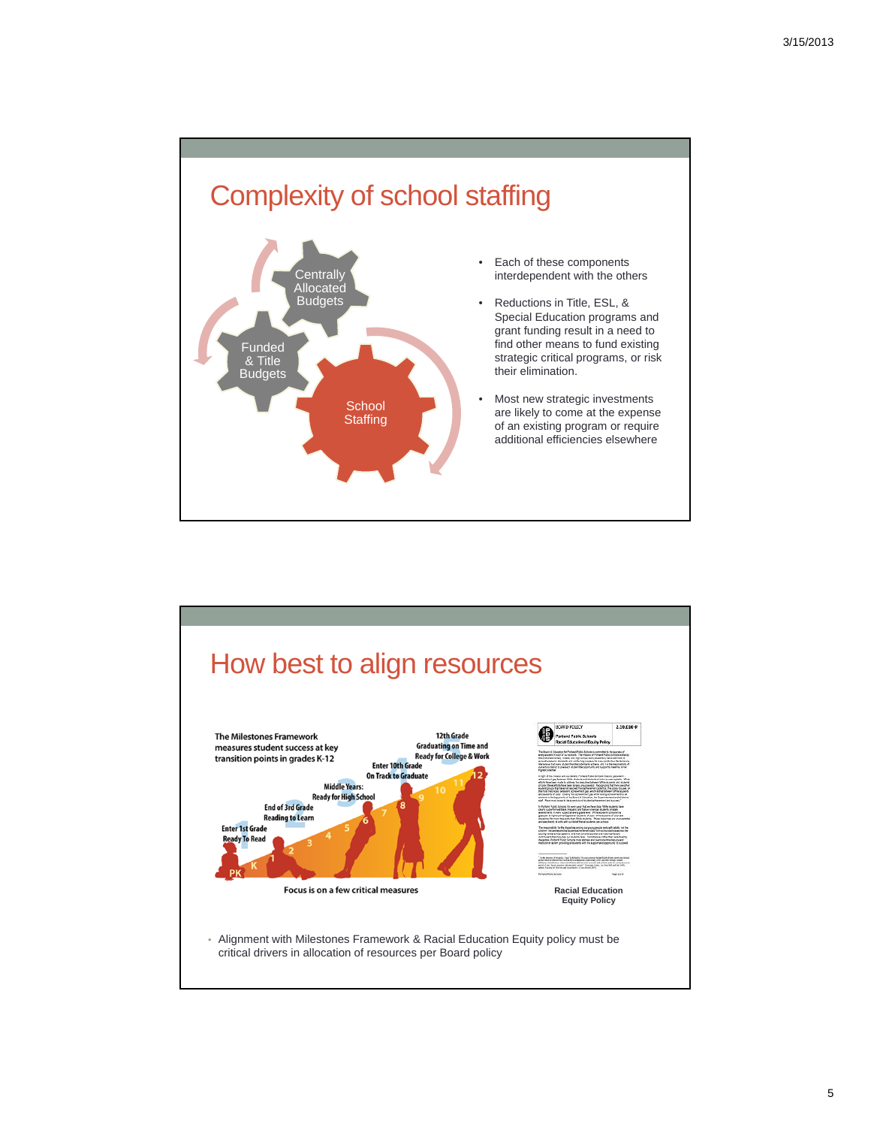### Complexity of school staffing



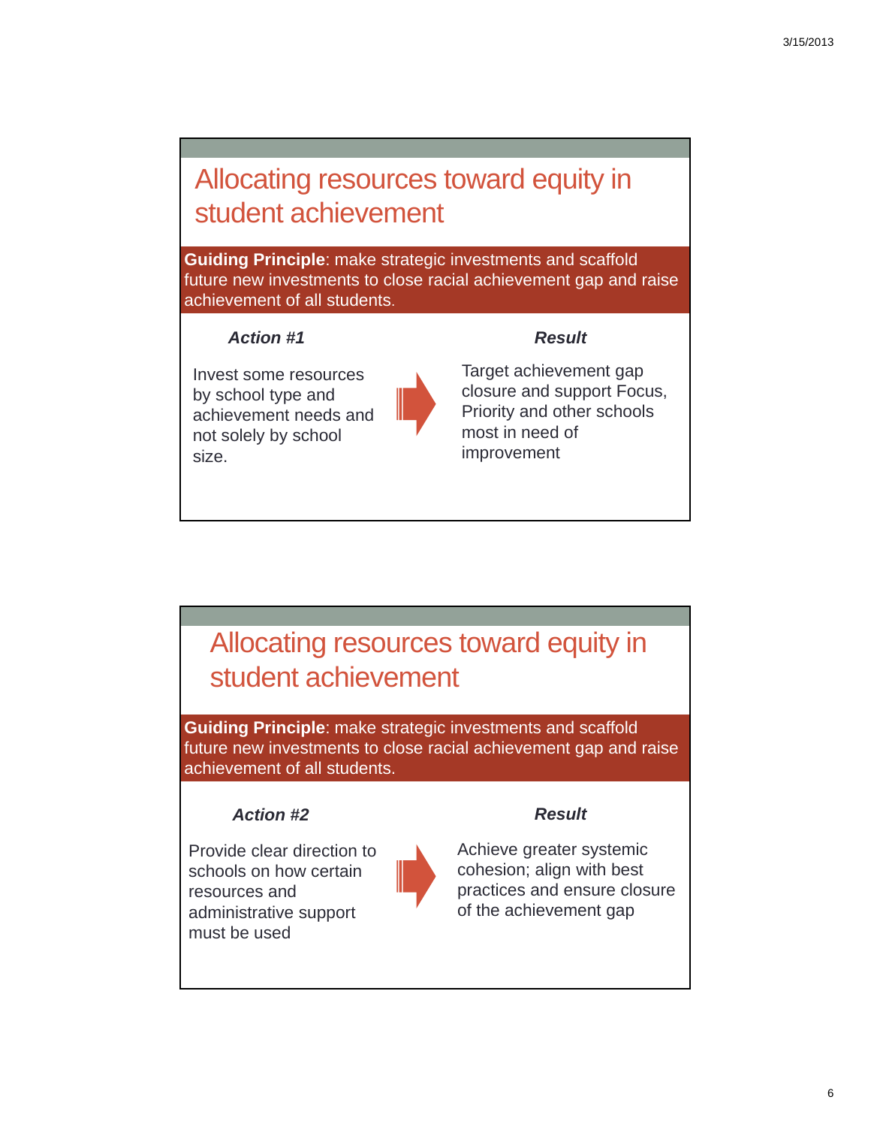### Allocating resources toward equity in student achievement

**Guiding Principle**: make strategic investments and scaffold future new investments to close racial achievement gap and raise achievement of all students.

### *Action #1*

Invest some resources by school type and achievement needs and not solely by school size.



Target achievement gap closure and support Focus, Priority and other schools most in need of improvement

*Result*

### Allocating resources toward equity in student achievement

**Guiding Principle**: make strategic investments and scaffold future new investments to close racial achievement gap and raise achievement of all students.

### *Action #2 Result*

Provide clear direction to schools on how certain resources and administrative support must be used



Achieve greater systemic cohesion; align with best practices and ensure closure of the achievement gap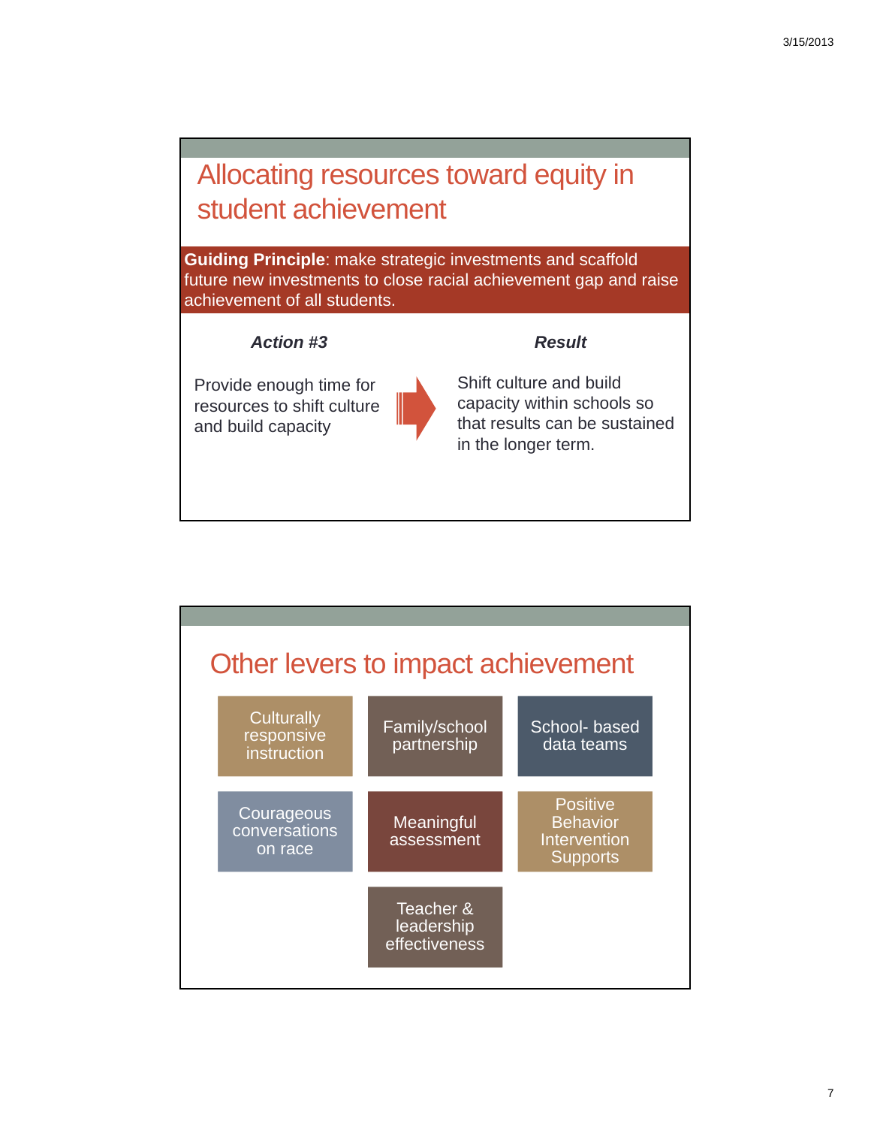### Allocating resources toward equity in student achievement

**Guiding Principle**: make strategic investments and scaffold future new investments to close racial achievement gap and raise achievement of all students.

### *Action #3 Result*

Provide enough time for resources to shift culture and build capacity



Shift culture and build capacity within schools so that results can be sustained in the longer term.

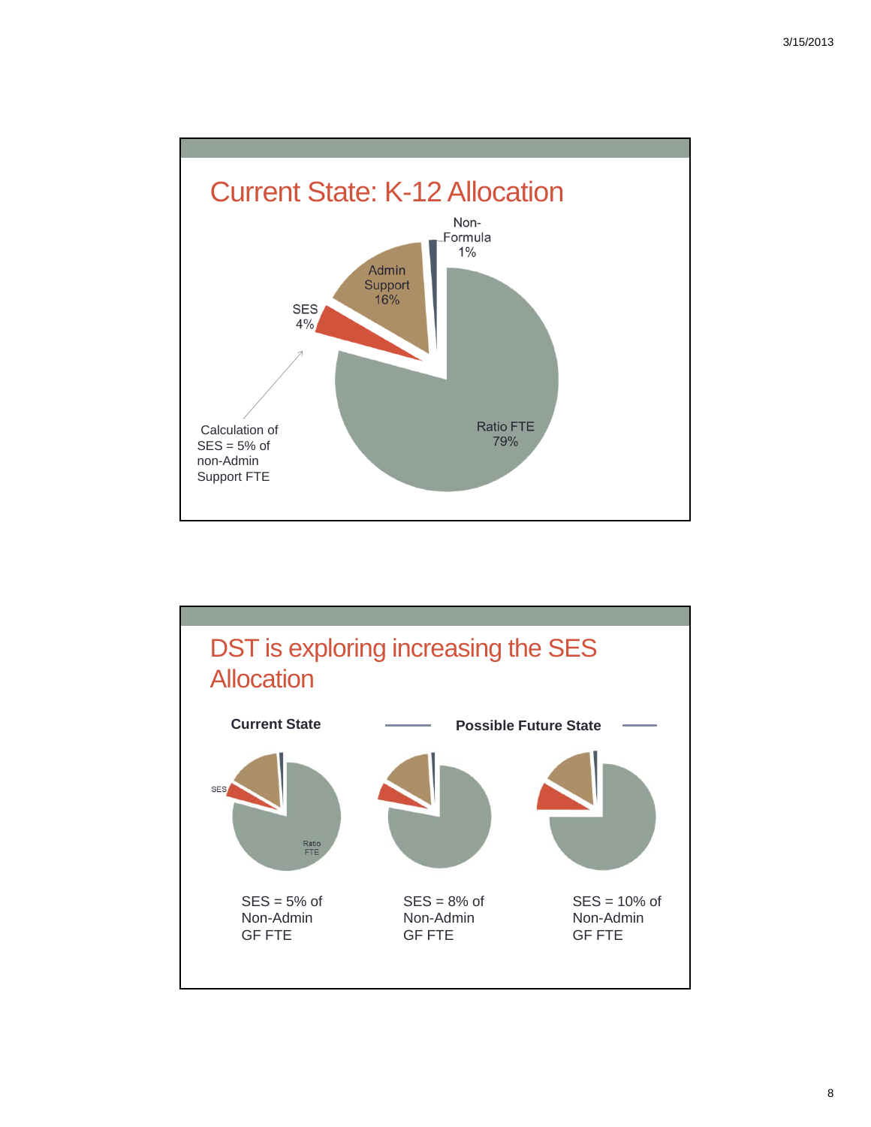

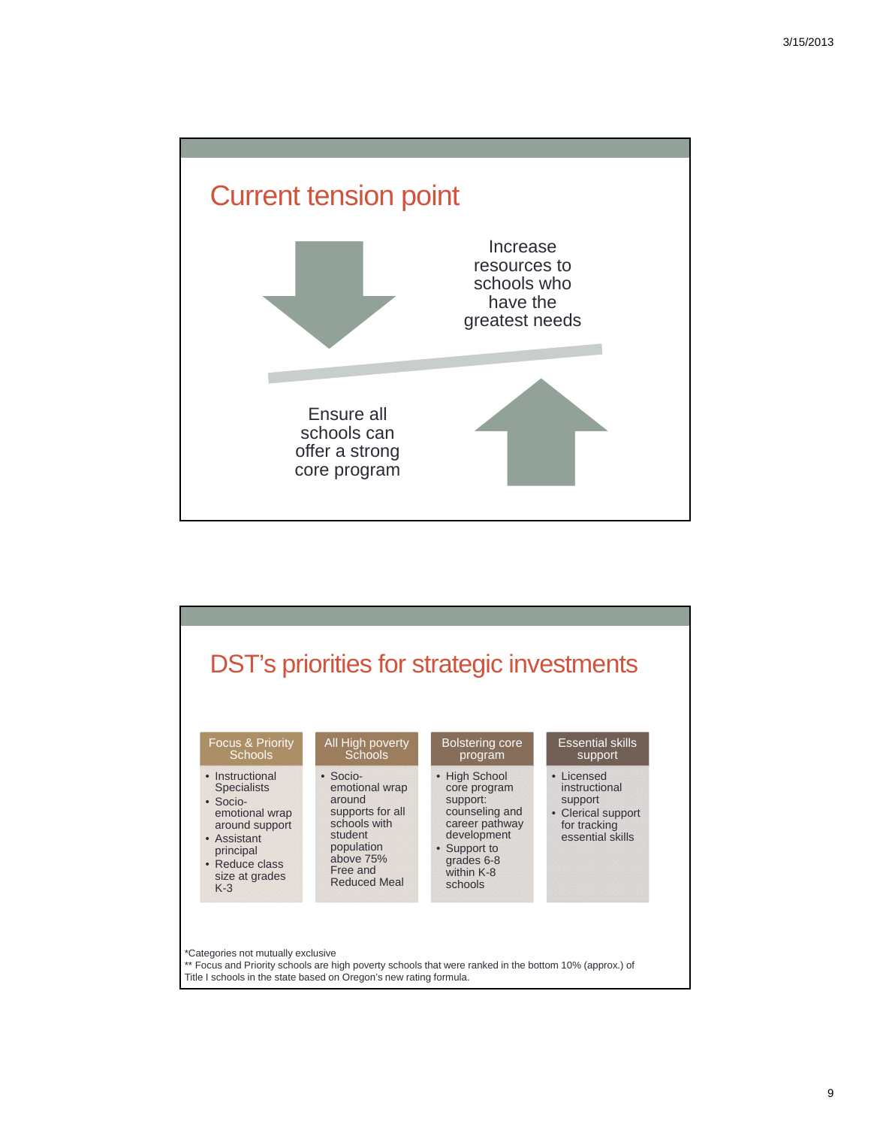



Title I schools in the state based on Oregon's new rating formula.

9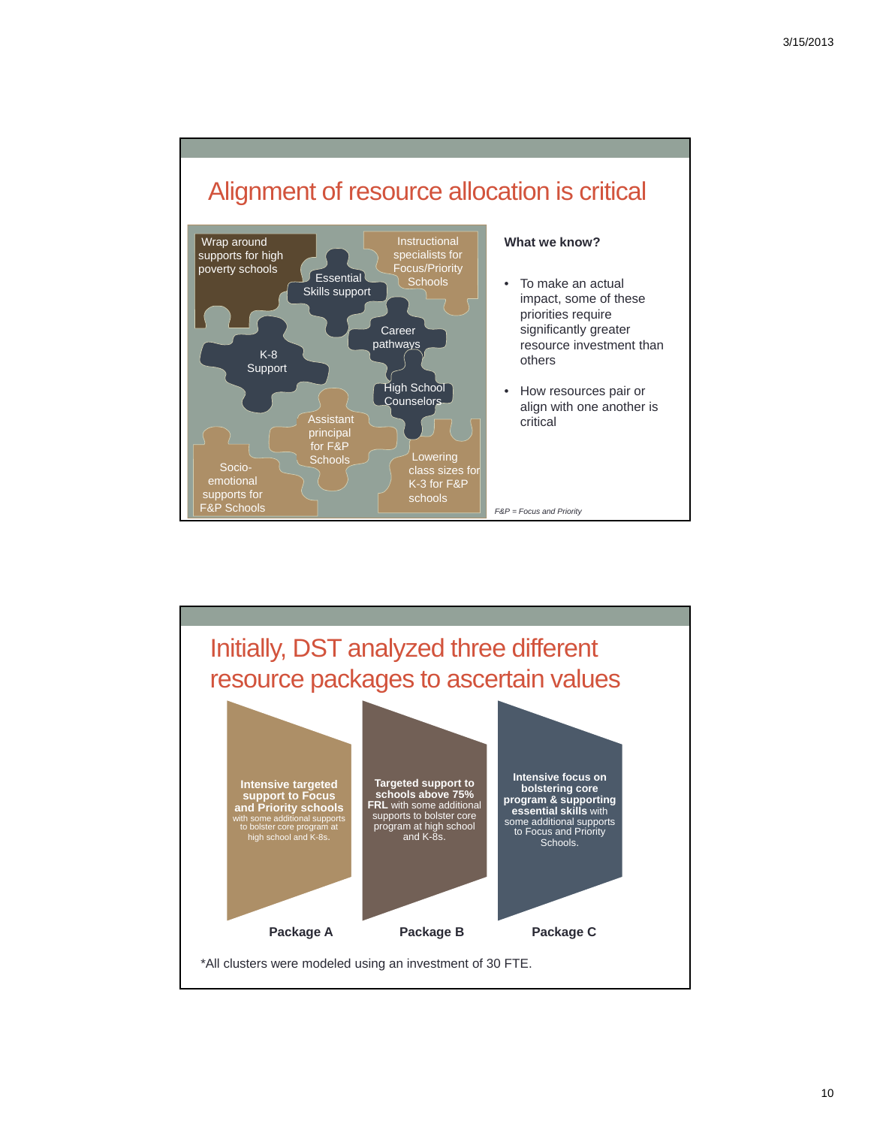



10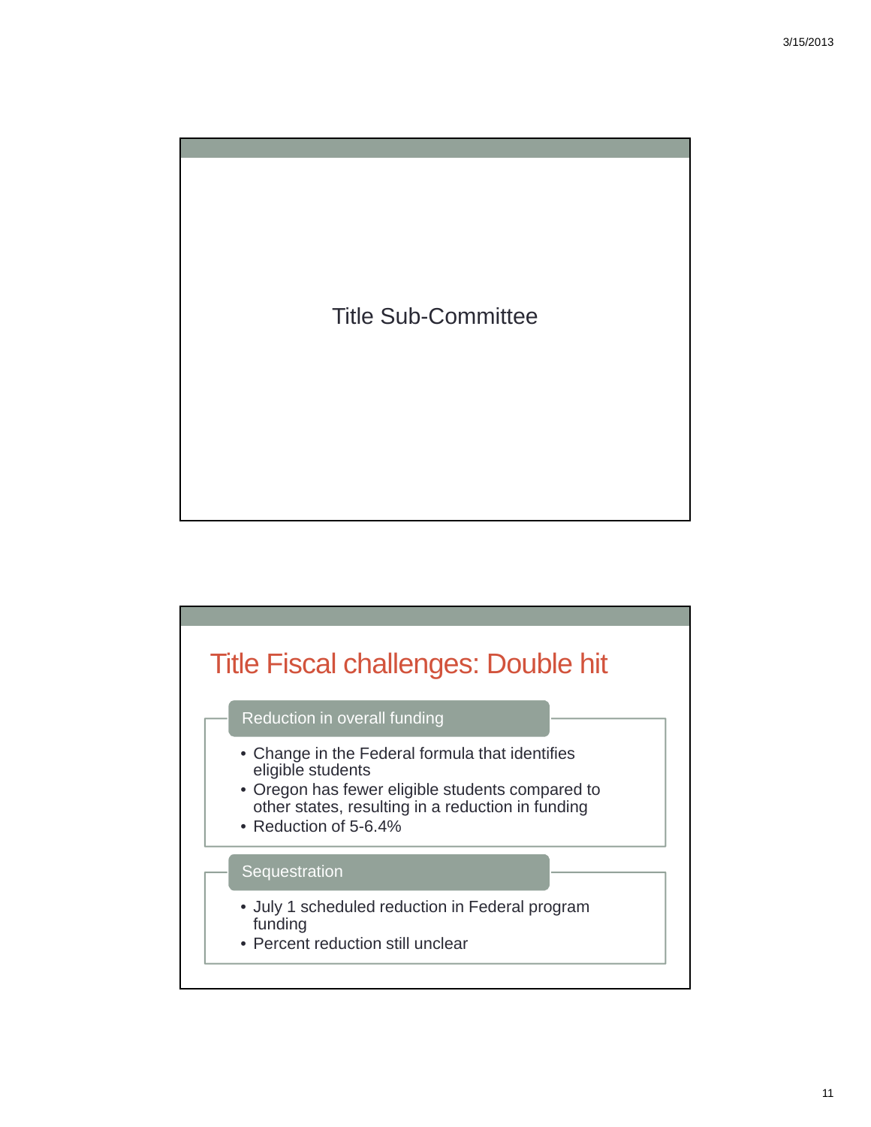

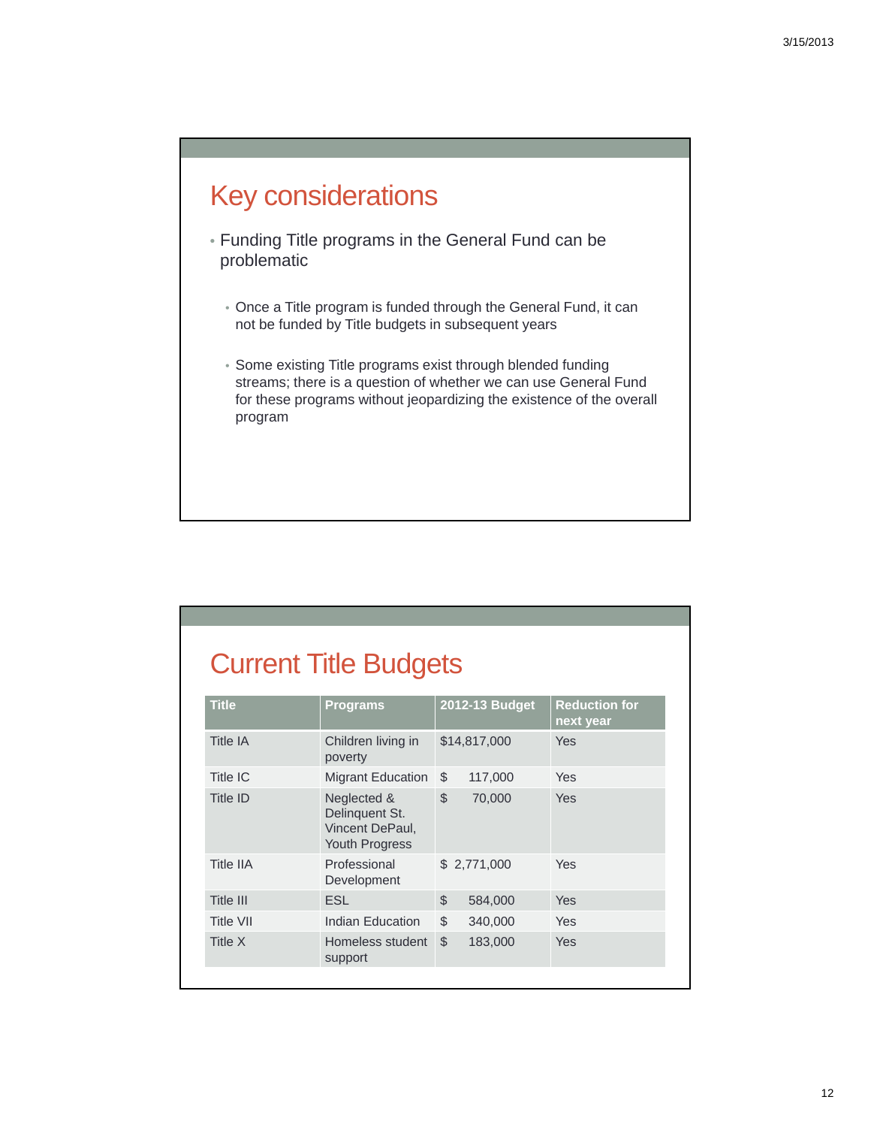### Key considerations

- Funding Title programs in the General Fund can be problematic
	- Once a Title program is funded through the General Fund, it can not be funded by Title budgets in subsequent years
	- Some existing Title programs exist through blended funding streams; there is a question of whether we can use General Fund for these programs without jeopardizing the existence of the overall program

### Current Title Budgets

| Children living in<br>poverty<br>Migrant Education                 | \$            | \$14,817,000 | <b>Yes</b>  |
|--------------------------------------------------------------------|---------------|--------------|-------------|
|                                                                    |               |              |             |
|                                                                    |               | 117,000      | Yes         |
| Neglected &<br>Delinquent St.<br>Vincent DePaul,<br>Youth Progress | $\mathcal{L}$ | 70,000       | <b>Yes</b>  |
| Professional<br>Development                                        |               |              | Yes         |
| <b>ESL</b>                                                         | $\mathcal{L}$ | 584,000      | Yes         |
| Indian Education                                                   | \$            | 340,000      | Yes         |
| Homeless student<br>support                                        | \$            | 183,000      | Yes         |
|                                                                    |               |              | \$2,771,000 |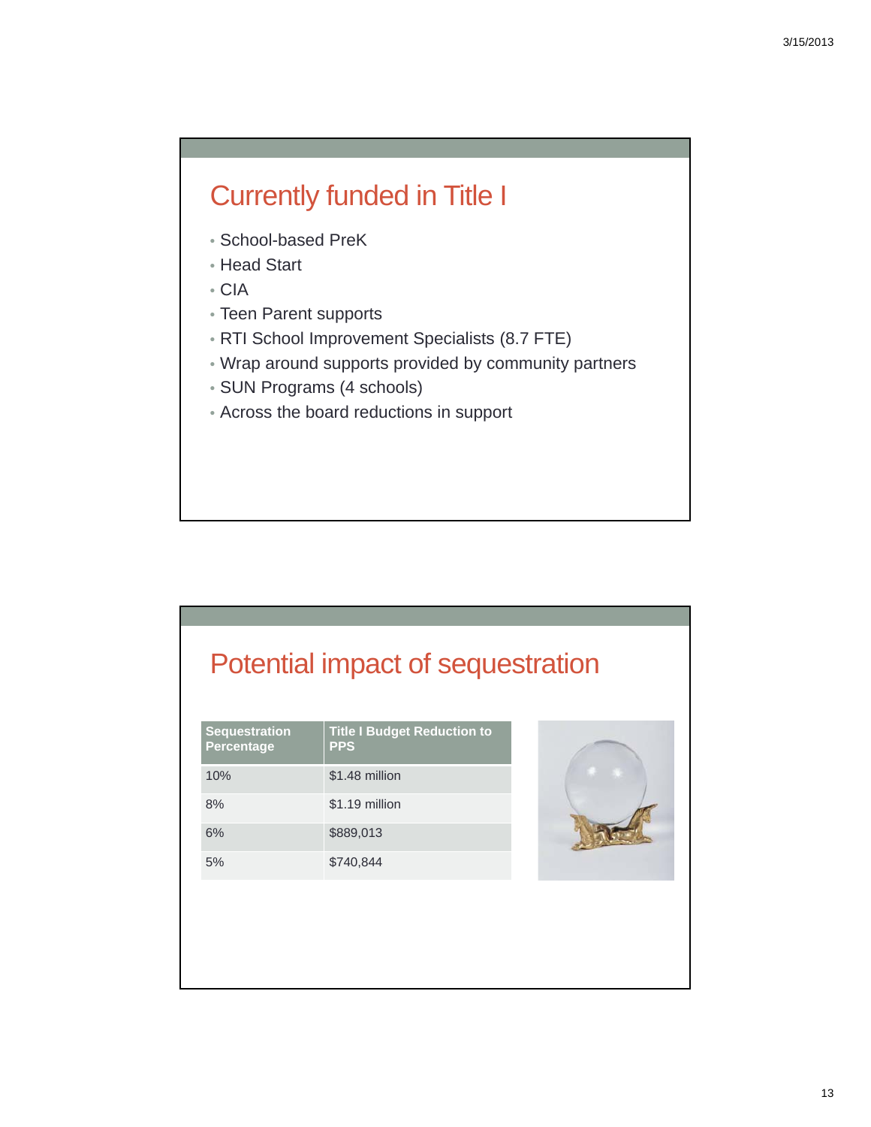### Currently funded in Title I

- School-based PreK
- Head Start
- CIA
- Teen Parent supports
- RTI School Improvement Specialists (8.7 FTE)
- Wrap around supports provided by community partners
- SUN Programs (4 schools)
- Across the board reductions in support

### Potential impact of sequestration

| <b>Sequestration</b><br>Percentage | <b>Title I Budget Reduction to</b><br><b>PPS</b> |
|------------------------------------|--------------------------------------------------|
| 10%                                | \$1.48 million                                   |
| 8%                                 | \$1.19 million                                   |
| 6%                                 | \$889,013                                        |
| 5%                                 | \$740,844                                        |

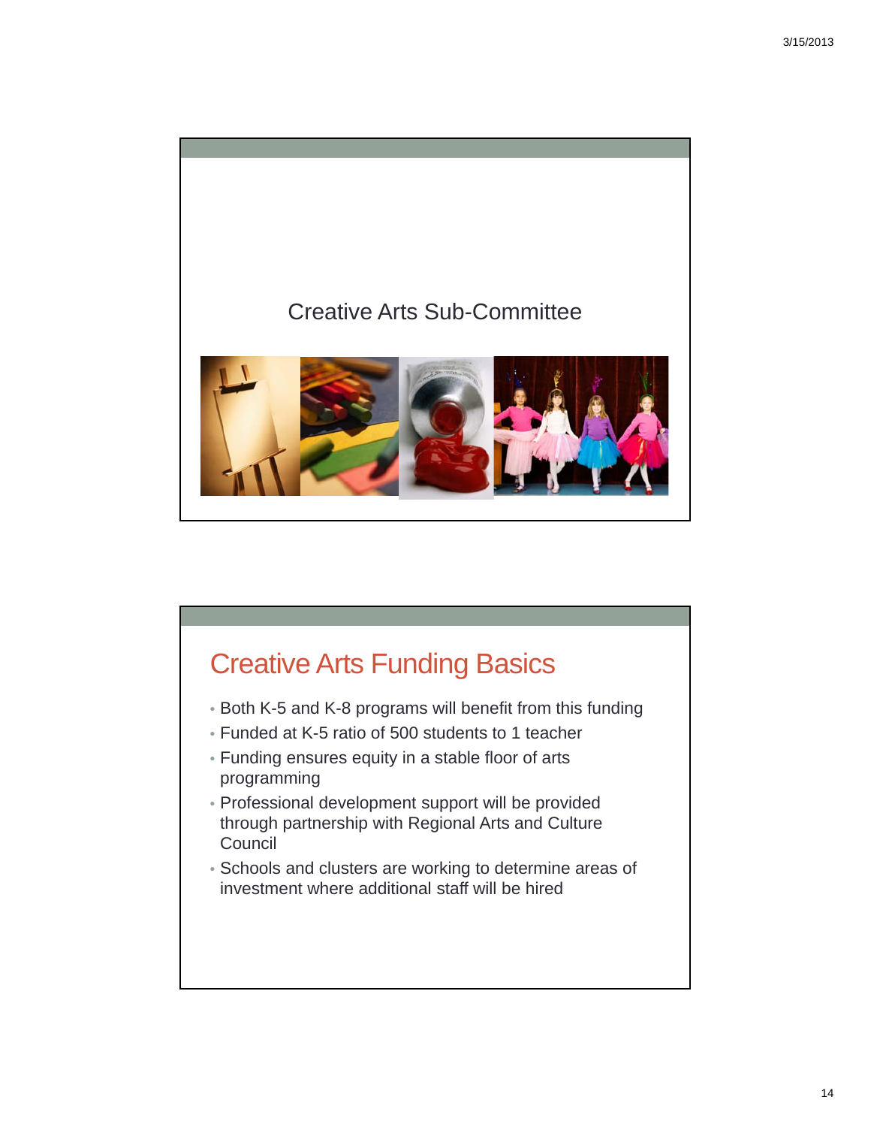

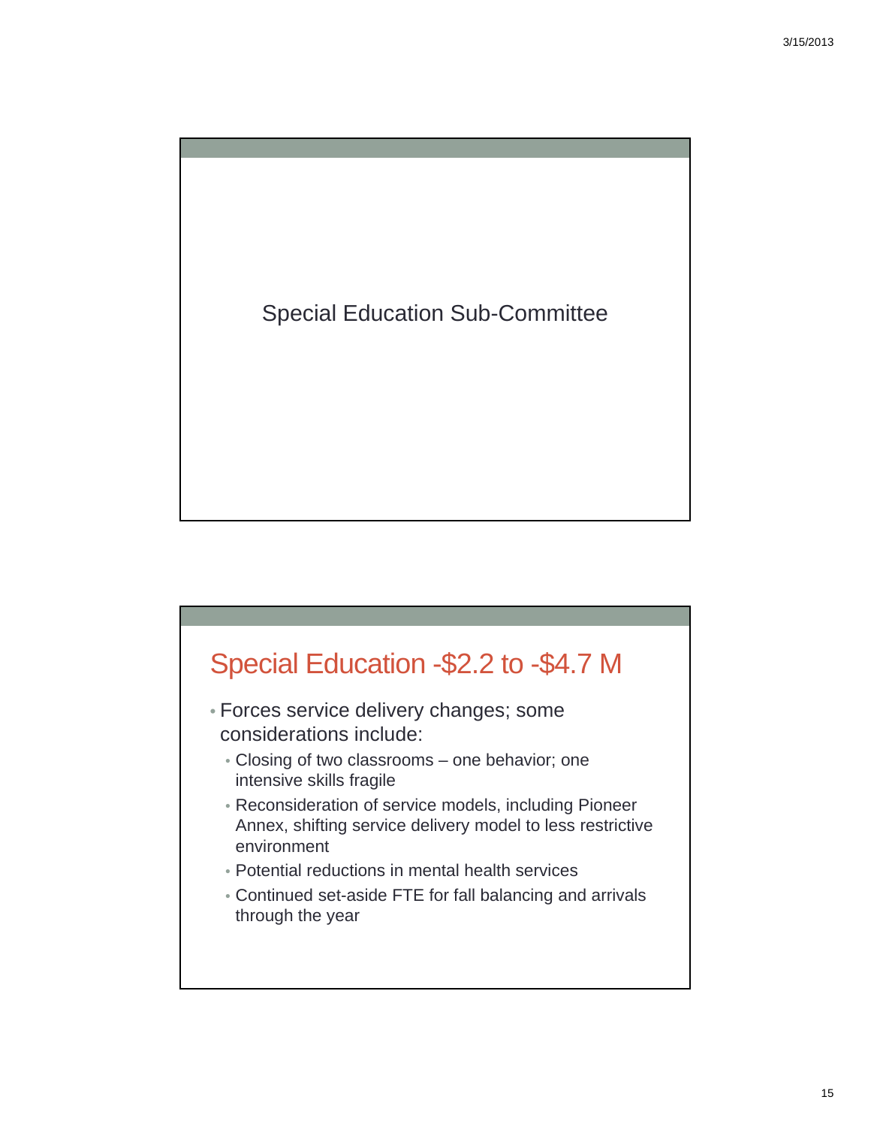



15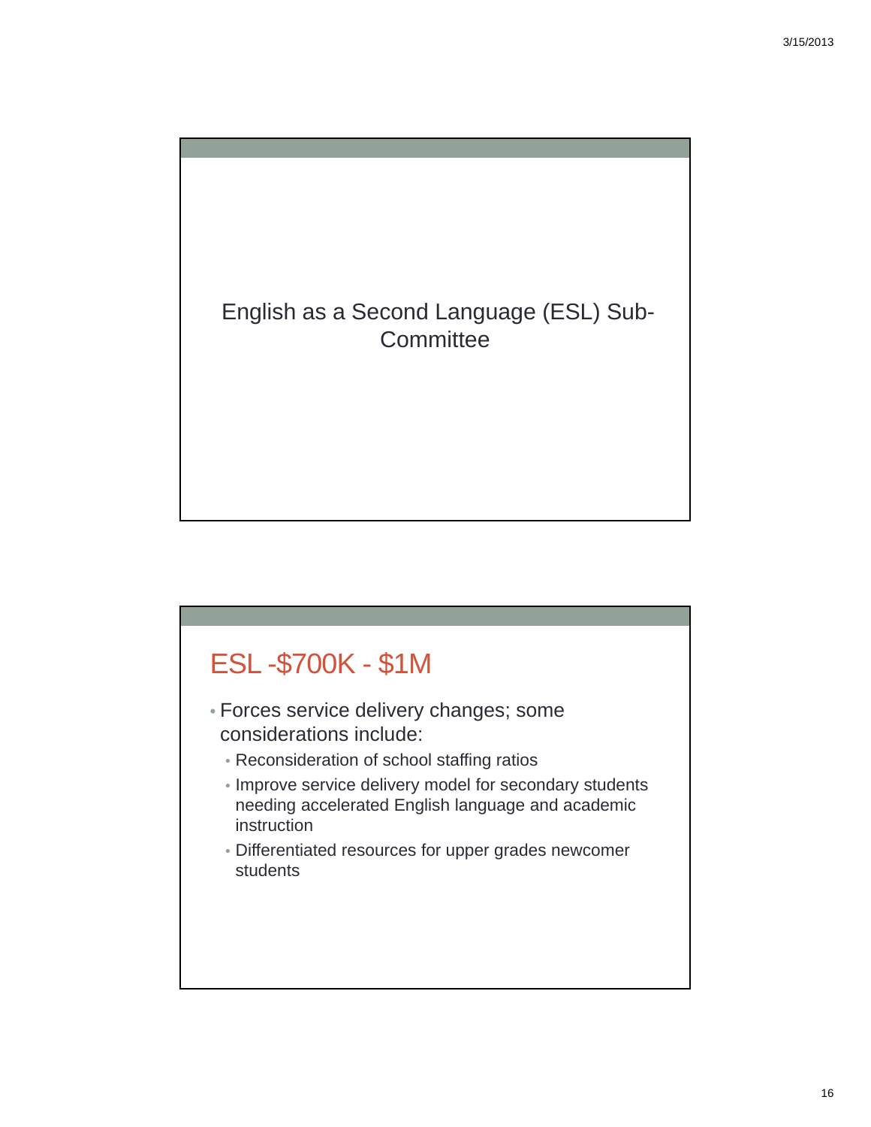

### ESL -\$700K - \$1M

- Forces service delivery changes; some considerations include:
	- Reconsideration of school staffing ratios
	- Improve service delivery model for secondary students needing accelerated English language and academic instruction
	- Differentiated resources for upper grades newcomer students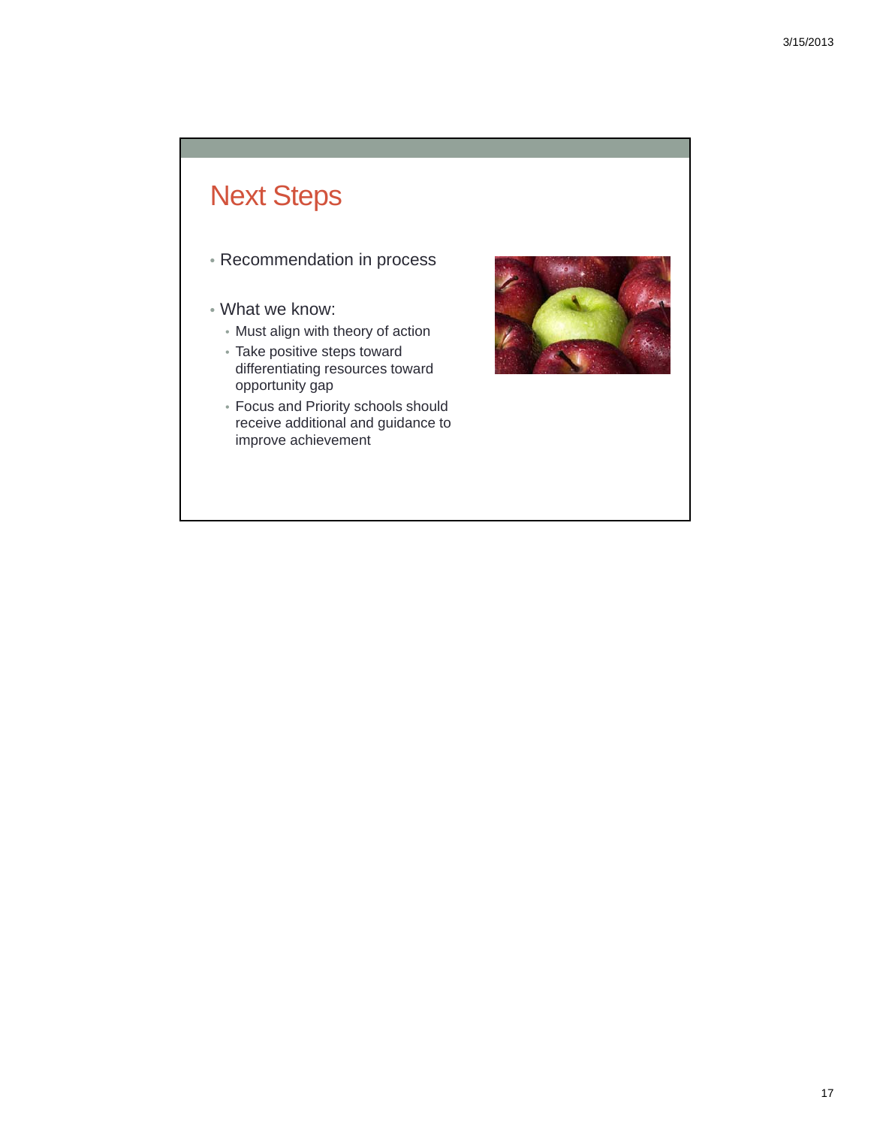### Next Steps

- Recommendation in process
- What we know:
	- Must align with theory of action
	- Take positive steps toward differentiating resources toward opportunity gap
	- Focus and Priority schools should receive additional and guidance to improve achievement

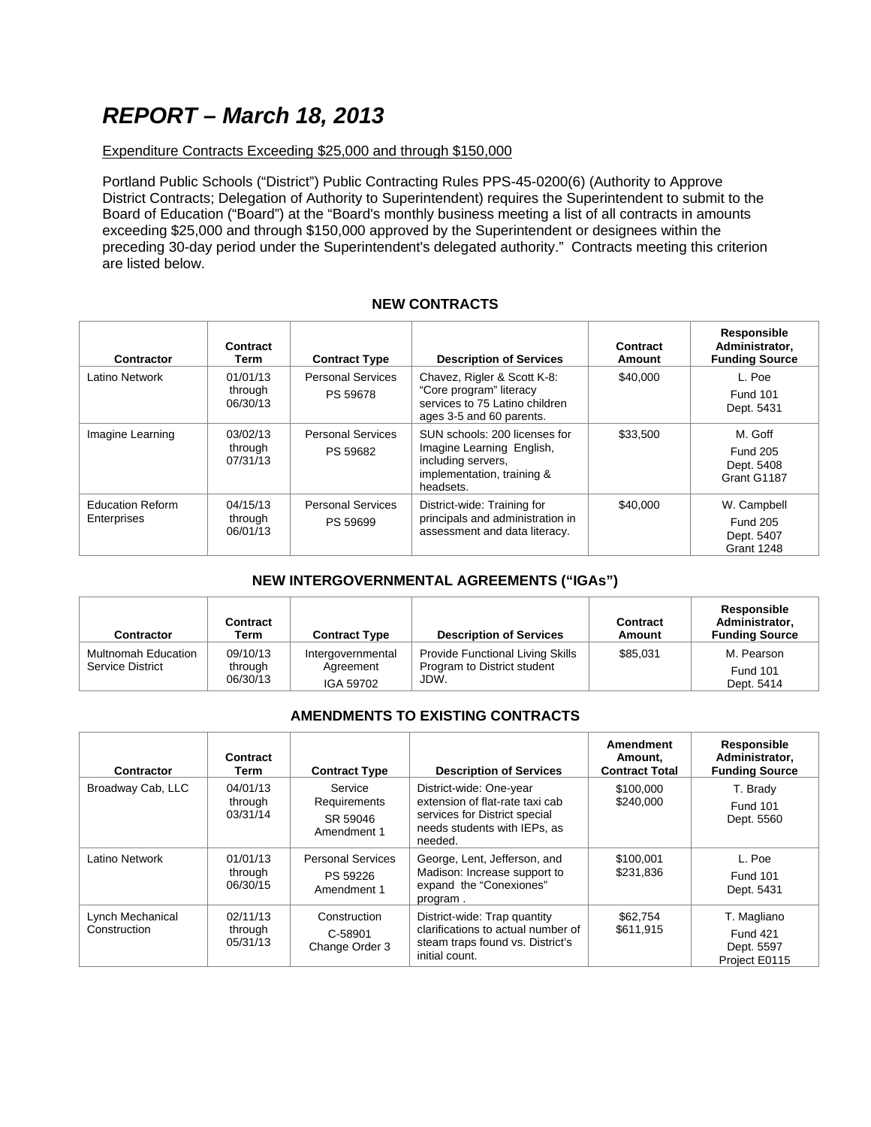### *REPORT – March 18, 2013*

### Expenditure Contracts Exceeding \$25,000 and through \$150,000

Portland Public Schools ("District") Public Contracting Rules PPS-45-0200(6) (Authority to Approve District Contracts; Delegation of Authority to Superintendent) requires the Superintendent to submit to the Board of Education ("Board") at the "Board's monthly business meeting a list of all contracts in amounts exceeding \$25,000 and through \$150,000 approved by the Superintendent or designees within the preceding 30-day period under the Superintendent's delegated authority." Contracts meeting this criterion are listed below.

### **NEW CONTRACTS**

| Contractor                             | Contract<br>Term                | <b>Contract Type</b>                 | <b>Description of Services</b>                                                                                              | Contract<br>Amount | Responsible<br>Administrator,<br><b>Funding Source</b>            |
|----------------------------------------|---------------------------------|--------------------------------------|-----------------------------------------------------------------------------------------------------------------------------|--------------------|-------------------------------------------------------------------|
| Latino Network                         | 01/01/13<br>through<br>06/30/13 | <b>Personal Services</b><br>PS 59678 | Chavez, Rigler & Scott K-8:<br>"Core program" literacy<br>services to 75 Latino children<br>ages 3-5 and 60 parents.        | \$40,000           | L. Poe<br><b>Fund 101</b><br>Dept. 5431                           |
| Imagine Learning                       | 03/02/13<br>through<br>07/31/13 | <b>Personal Services</b><br>PS 59682 | SUN schools: 200 licenses for<br>Imagine Learning English,<br>including servers.<br>implementation, training &<br>headsets. | \$33,500           | M. Goff<br><b>Fund 205</b><br>Dept. 5408<br>Grant G1187           |
| <b>Education Reform</b><br>Enterprises | 04/15/13<br>through<br>06/01/13 | <b>Personal Services</b><br>PS 59699 | District-wide: Training for<br>principals and administration in<br>assessment and data literacy.                            | \$40,000           | W. Campbell<br><b>Fund 205</b><br>Dept. 5407<br><b>Grant 1248</b> |

### **NEW INTERGOVERNMENTAL AGREEMENTS ("IGAs")**

| <b>Contractor</b>                       | Contract<br>Term                | <b>Contract Type</b>                        | <b>Description of Services</b>                                                 | Contract<br>Amount | Responsible<br>Administrator.<br><b>Funding Source</b> |
|-----------------------------------------|---------------------------------|---------------------------------------------|--------------------------------------------------------------------------------|--------------------|--------------------------------------------------------|
| Multnomah Education<br>Service District | 09/10/13<br>through<br>06/30/13 | Intergovernmental<br>Agreement<br>IGA 59702 | <b>Provide Functional Living Skills</b><br>Program to District student<br>JDW. | \$85,031           | M. Pearson<br><b>Fund 101</b><br>Dept. 5414            |

### **AMENDMENTS TO EXISTING CONTRACTS**

| Contractor                       | Contract<br>Term                | <b>Contract Type</b>                                | <b>Description of Services</b>                                                                                                         | Amendment<br>Amount.<br><b>Contract Total</b> | Responsible<br>Administrator.<br><b>Funding Source</b>        |
|----------------------------------|---------------------------------|-----------------------------------------------------|----------------------------------------------------------------------------------------------------------------------------------------|-----------------------------------------------|---------------------------------------------------------------|
| Broadway Cab, LLC                | 04/01/13<br>through<br>03/31/14 | Service<br>Requirements<br>SR 59046<br>Amendment 1  | District-wide: One-year<br>extension of flat-rate taxi cab<br>services for District special<br>needs students with IEPs, as<br>needed. | \$100,000<br>\$240,000                        | T. Brady<br><b>Fund 101</b><br>Dept. 5560                     |
| Latino Network                   | 01/01/13<br>through<br>06/30/15 | <b>Personal Services</b><br>PS 59226<br>Amendment 1 | George, Lent, Jefferson, and<br>Madison: Increase support to<br>expand the "Conexiones"<br>program.                                    | \$100,001<br>\$231,836                        | L. Poe<br><b>Fund 101</b><br>Dept. 5431                       |
| Lynch Mechanical<br>Construction | 02/11/13<br>through<br>05/31/13 | Construction<br>C-58901<br>Change Order 3           | District-wide: Trap quantity<br>clarifications to actual number of<br>steam traps found vs. District's<br>initial count.               | \$62,754<br>\$611,915                         | T. Magliano<br><b>Fund 421</b><br>Dept. 5597<br>Project E0115 |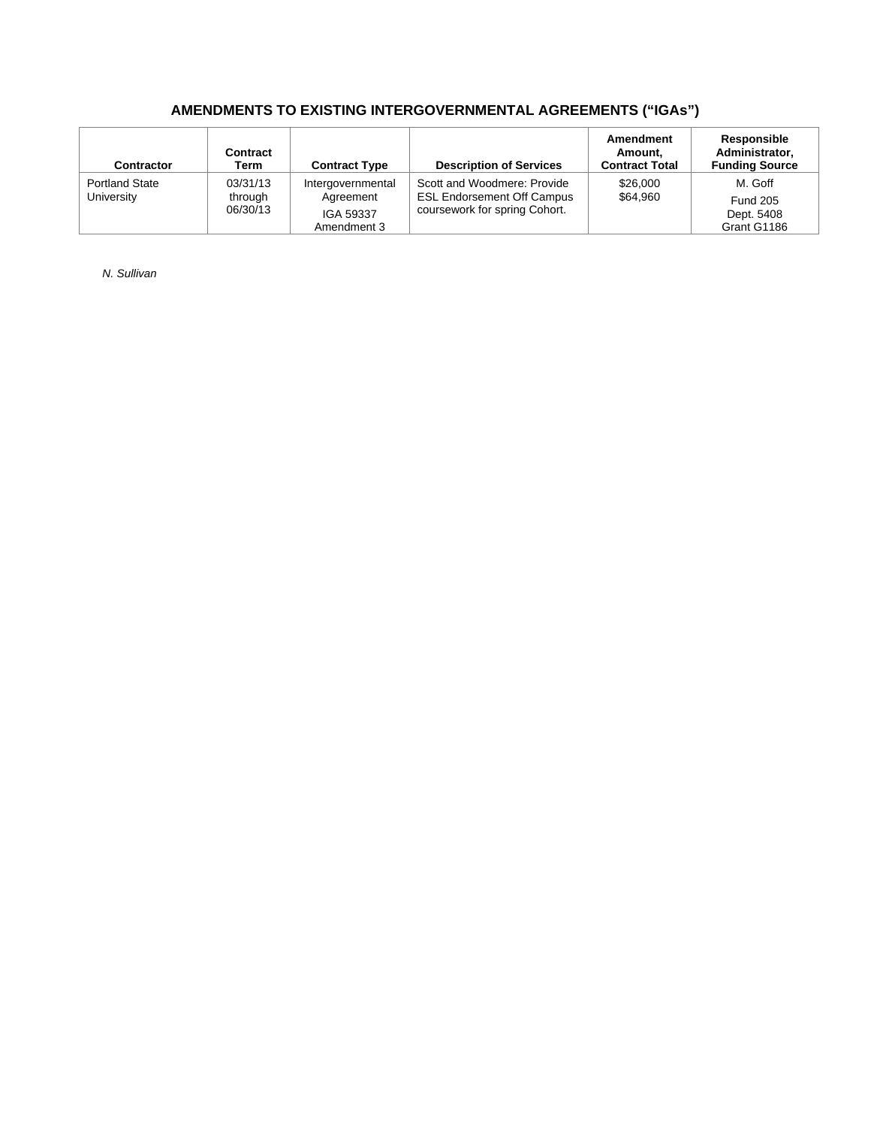### **AMENDMENTS TO EXISTING INTERGOVERNMENTAL AGREEMENTS ("IGAs")**

| <b>Contractor</b>                   | Contract<br>Term                | <b>Contract Type</b>                                       | <b>Description of Services</b>                                                                    | Amendment<br>Amount.<br><b>Contract Total</b> | Responsible<br>Administrator,<br><b>Funding Source</b>  |
|-------------------------------------|---------------------------------|------------------------------------------------------------|---------------------------------------------------------------------------------------------------|-----------------------------------------------|---------------------------------------------------------|
| <b>Portland State</b><br>University | 03/31/13<br>through<br>06/30/13 | Intergovernmental<br>Agreement<br>IGA 59337<br>Amendment 3 | Scott and Woodmere: Provide<br><b>ESL Endorsement Off Campus</b><br>coursework for spring Cohort. | \$26,000<br>\$64,960                          | M. Goff<br><b>Fund 205</b><br>Dept. 5408<br>Grant G1186 |

*N. Sullivan*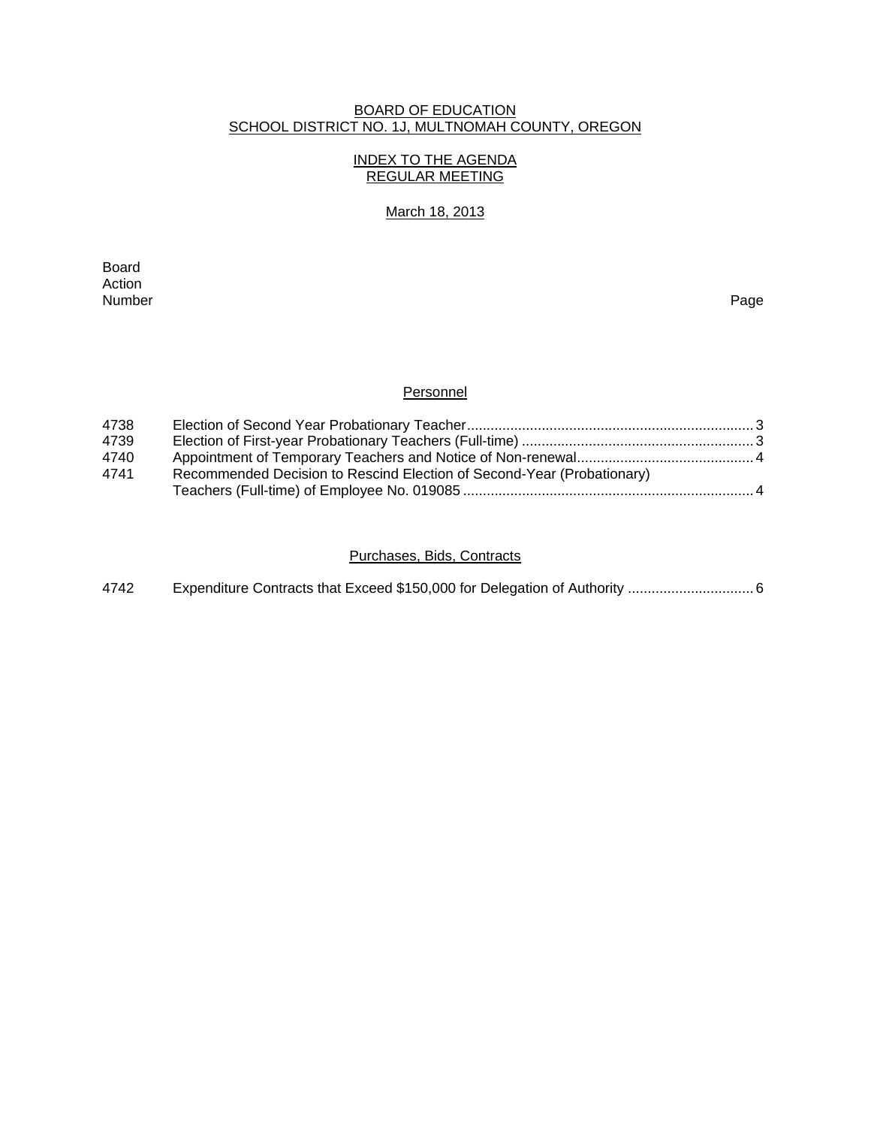### BOARD OF EDUCATION SCHOOL DISTRICT NO. 1J, MULTNOMAH COUNTY, OREGON

### INDEX TO THE AGENDA REGULAR MEETING

### March 18, 2013

extending the control of the control of the control of the control of the control of the control of the control of the control of the control of the control of the control of the control of the control of the control of th Action<br>Number Number Page

### **Personnel**

| 4738 |                                                                        |  |
|------|------------------------------------------------------------------------|--|
| 4739 |                                                                        |  |
| 4740 |                                                                        |  |
| 4741 | Recommended Decision to Rescind Election of Second-Year (Probationary) |  |
|      |                                                                        |  |

### Purchases, Bids, Contracts

| 4742 |  |  |  |
|------|--|--|--|
|------|--|--|--|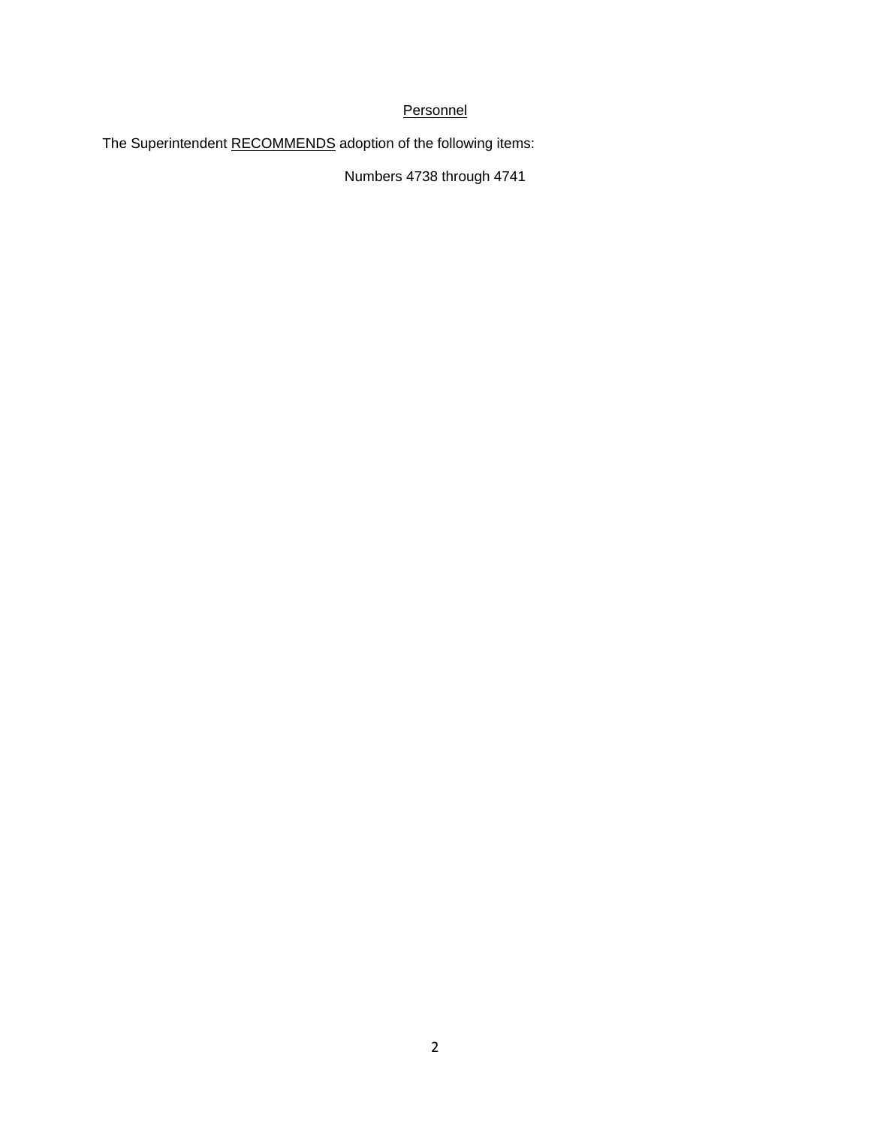### **Personnel**

The Superintendent RECOMMENDS adoption of the following items:

Numbers 4738 through 4741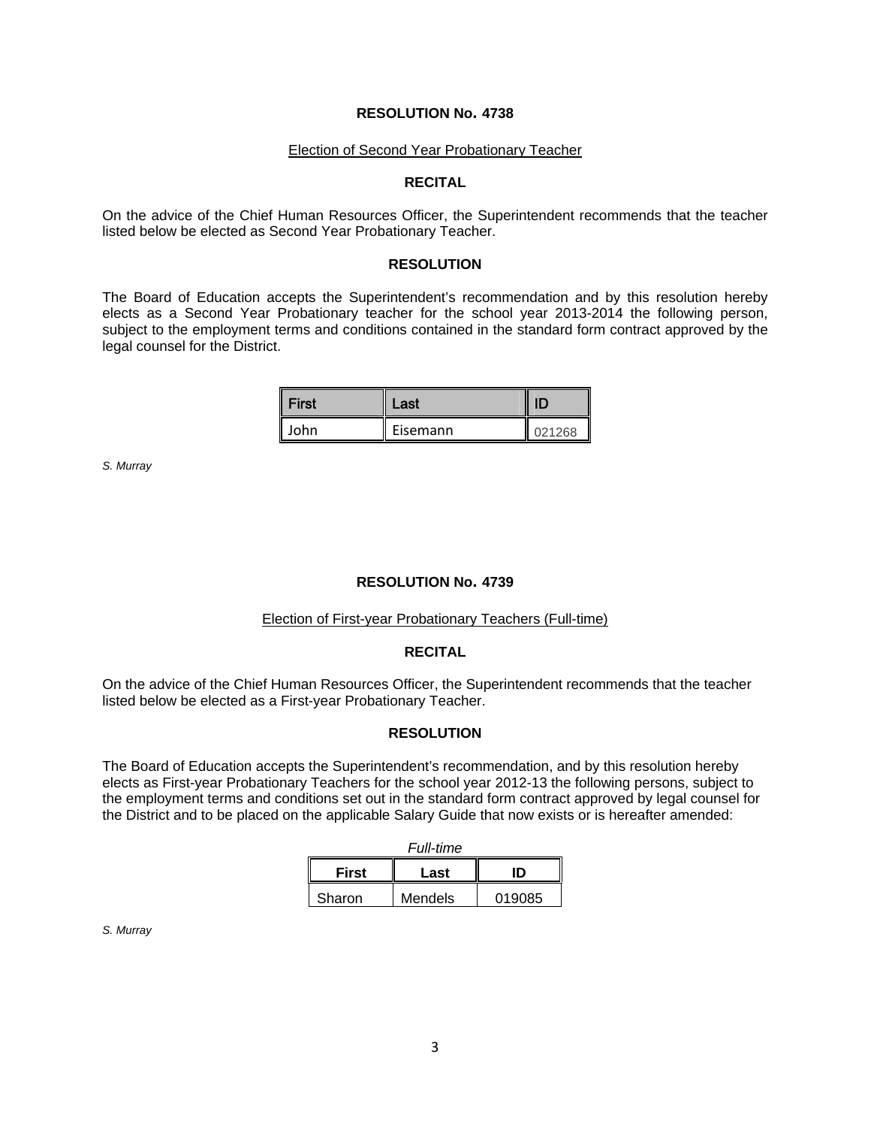#### **RESOLUTION No. 4738**

#### Election of Second Year Probationary Teacher

#### **RECITAL**

On the advice of the Chief Human Resources Officer, the Superintendent recommends that the teacher listed below be elected as Second Year Probationary Teacher.

#### **RESOLUTION**

The Board of Education accepts the Superintendent's recommendation and by this resolution hereby elects as a Second Year Probationary teacher for the school year 2013-2014 the following person, subject to the employment terms and conditions contained in the standard form contract approved by the legal counsel for the District.

| <b>First</b> | Last     |        |
|--------------|----------|--------|
| John         | Eisemann | 021268 |

*S. Murray* 

#### **RESOLUTION No. 4739**

### Election of First-year Probationary Teachers (Full-time)

#### **RECITAL**

On the advice of the Chief Human Resources Officer, the Superintendent recommends that the teacher listed below be elected as a First-year Probationary Teacher.

#### **RESOLUTION**

The Board of Education accepts the Superintendent's recommendation, and by this resolution hereby elects as First-year Probationary Teachers for the school year 2012-13 the following persons, subject to the employment terms and conditions set out in the standard form contract approved by legal counsel for the District and to be placed on the applicable Salary Guide that now exists or is hereafter amended:

| <b>Full-time</b>           |         |        |  |  |
|----------------------------|---------|--------|--|--|
| <b>First</b><br>חו<br>Last |         |        |  |  |
| Sharon                     | Mendels | 019085 |  |  |

*S. Murray*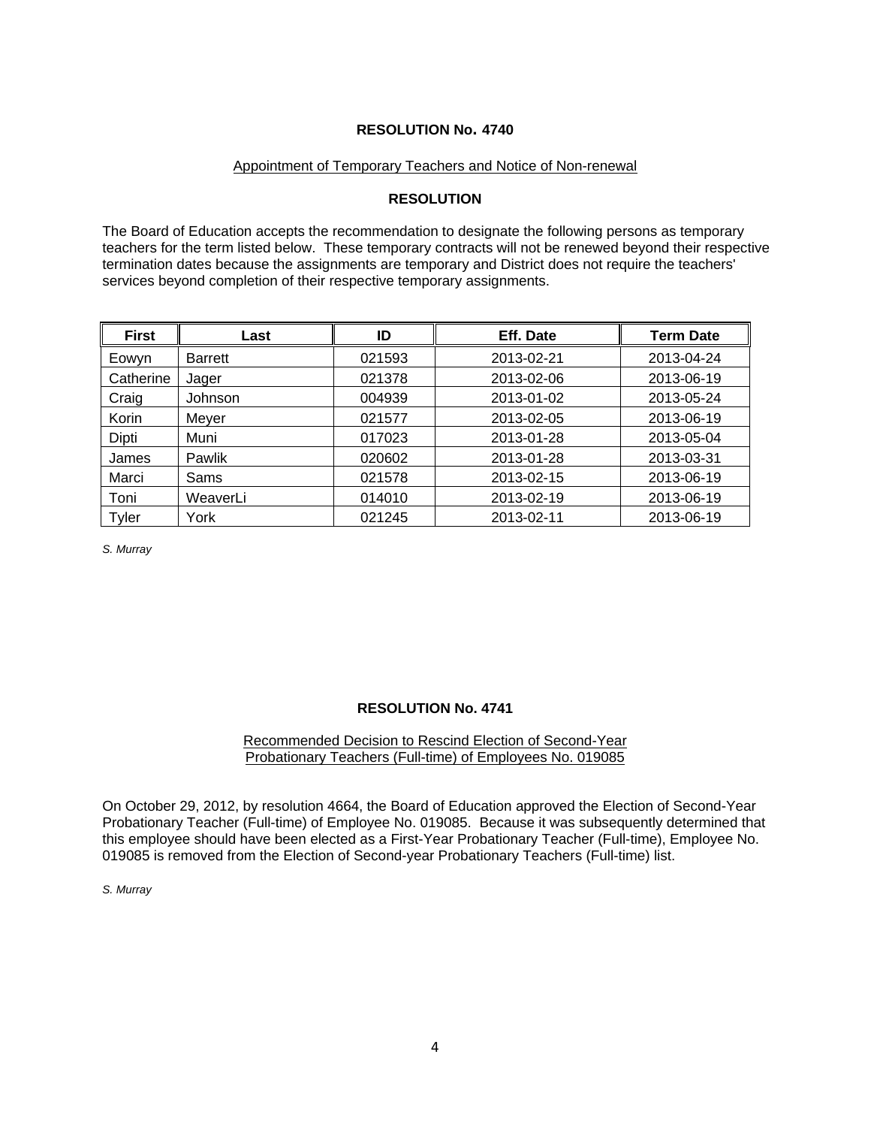### **RESOLUTION No. 4740**

### Appointment of Temporary Teachers and Notice of Non-renewal

### **RESOLUTION**

The Board of Education accepts the recommendation to designate the following persons as temporary teachers for the term listed below. These temporary contracts will not be renewed beyond their respective termination dates because the assignments are temporary and District does not require the teachers' services beyond completion of their respective temporary assignments.

| <b>First</b> | Last           | ID     | Eff. Date  | <b>Term Date</b> |
|--------------|----------------|--------|------------|------------------|
| Eowyn        | <b>Barrett</b> | 021593 | 2013-02-21 | 2013-04-24       |
| Catherine    | Jager          | 021378 | 2013-02-06 | 2013-06-19       |
| Craig        | <b>Johnson</b> | 004939 | 2013-01-02 | 2013-05-24       |
| Korin        | Meyer          | 021577 | 2013-02-05 | 2013-06-19       |
| Dipti        | Muni           | 017023 | 2013-01-28 | 2013-05-04       |
| James        | Pawlik         | 020602 | 2013-01-28 | 2013-03-31       |
| Marci        | Sams           | 021578 | 2013-02-15 | 2013-06-19       |
| Toni         | WeaverLi       | 014010 | 2013-02-19 | 2013-06-19       |
| <b>Tyler</b> | York           | 021245 | 2013-02-11 | 2013-06-19       |

*S. Murray* 

### **RESOLUTION No. 4741**

### Recommended Decision to Rescind Election of Second-Year Probationary Teachers (Full-time) of Employees No. 019085

On October 29, 2012, by resolution 4664, the Board of Education approved the Election of Second-Year Probationary Teacher (Full-time) of Employee No. 019085. Because it was subsequently determined that this employee should have been elected as a First-Year Probationary Teacher (Full-time), Employee No. 019085 is removed from the Election of Second-year Probationary Teachers (Full-time) list.

*S. Murray*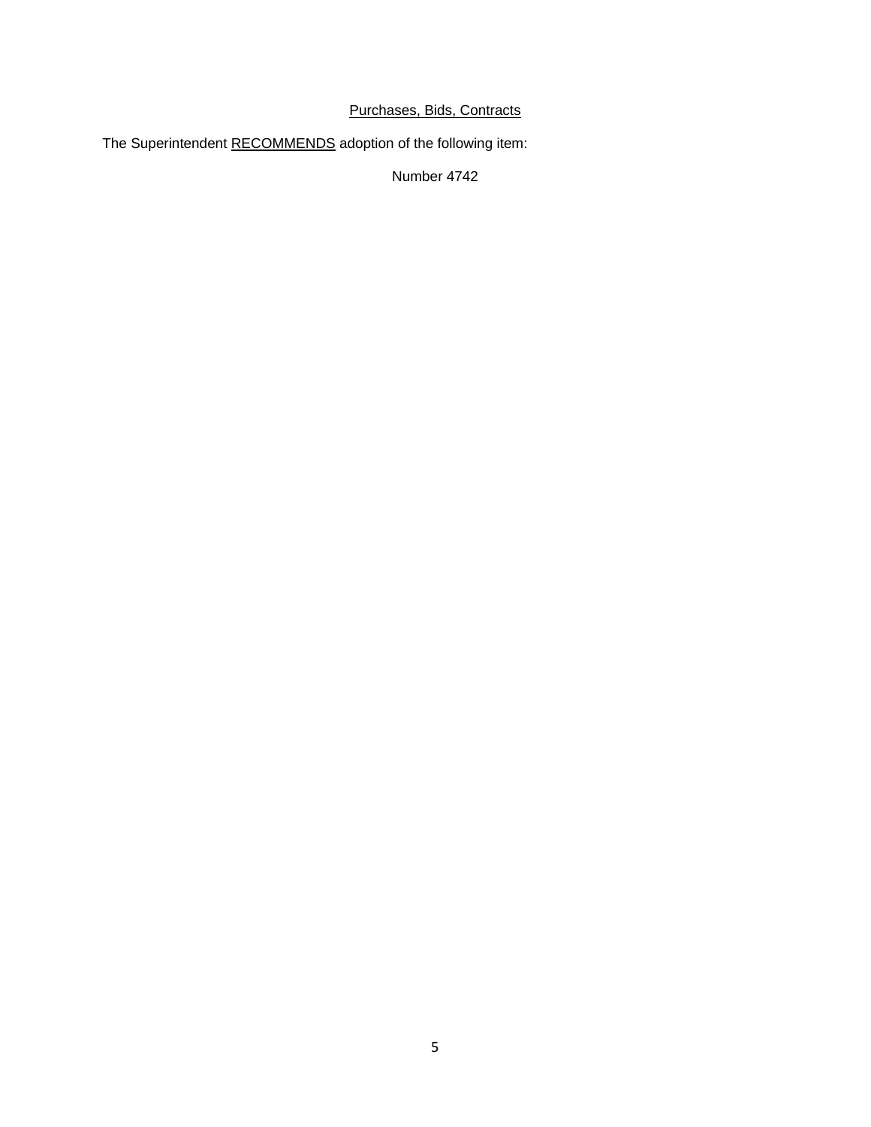### Purchases, Bids, Contracts

The Superintendent RECOMMENDS adoption of the following item:

Number 4742